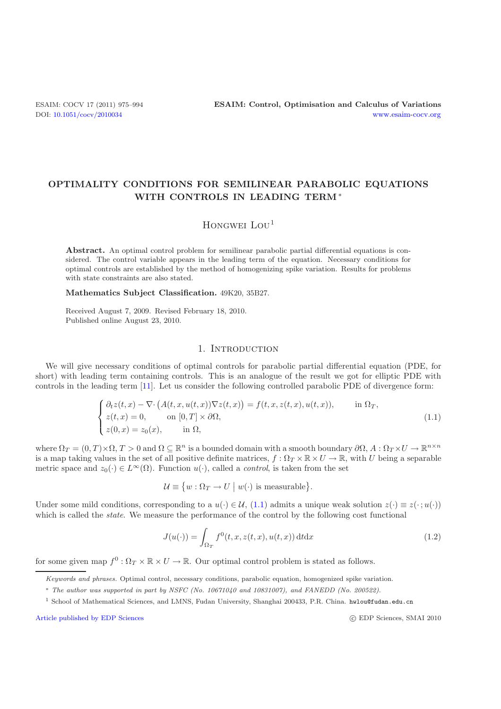# **OPTIMALITY CONDITIONS FOR SEMILINEAR PARABOLIC EQUATIONS WITH CONTROLS IN LEADING TERM**∗

### HONGWEI LOU<sup>1</sup>

**Abstract.** An optimal control problem for semilinear parabolic partial differential equations is considered. The control variable appears in the leading term of the equation. Necessary conditions for optimal controls are established by the method of homogenizing spike variation. Results for problems with state constraints are also stated.

**Mathematics Subject Classification.** 49K20, 35B27.

Received August 7, 2009. Revised February 18, 2010. Published online August 23, 2010.

### 1. INTRODUCTION

We will give necessary conditions of optimal controls for parabolic partial differential equation (PDE, for short) with leading term containing controls. This is an analogue of the result we got for elliptic PDE with controls in the leading term [\[11](#page-19-0)]. Let us consider the following controlled parabolic PDE of divergence form:

$$
\begin{cases}\n\partial_t z(t,x) - \nabla \cdot (A(t,x,u(t,x))\nabla z(t,x)) = f(t,x,z(t,x),u(t,x)), & \text{in } \Omega_T, \\
z(t,x) = 0, & \text{on } [0,T] \times \partial\Omega, \\
z(0,x) = z_0(x), & \text{in } \Omega,\n\end{cases}
$$
\n(1.1)

<span id="page-0-0"></span>where  $\Omega_T = (0, T) \times \Omega$ ,  $T > 0$  and  $\Omega \subseteq \mathbb{R}^n$  is a bounded domain with a smooth boundary  $\partial \Omega$ ,  $A : \Omega_T \times U \to \mathbb{R}^{n \times n}$ is a map taking values in the set of all positive definite matrices,  $f : \Omega_T \times \mathbb{R} \times U \to \mathbb{R}$ , with U being a separable metric space and  $z_0(\cdot) \in L^{\infty}(\Omega)$ . Function  $u(\cdot)$ , called a *control*, is taken from the set

$$
\mathcal{U} \equiv \{ w : \Omega_T \to U \mid w(\cdot) \text{ is measurable} \}.
$$

Under some mild conditions, corresponding to a  $u(\cdot) \in \mathcal{U}$ , [\(1.1\)](#page-0-0) admits a unique weak solution  $z(\cdot) \equiv z(\cdot; u(\cdot))$ which is called the *state*. We measure the performance of the control by the following cost functional

$$
J(u(\cdot)) = \int_{\Omega_T} f^0(t, x, z(t, x), u(t, x)) \, \mathrm{d}t \mathrm{d}x \tag{1.2}
$$

for some given map  $f^0: \Omega_T \times \mathbb{R} \times U \to \mathbb{R}$ . Our optimal control problem is stated as follows.

Keywords and phrases. Optimal control, necessary conditions, parabolic equation, homogenized spike variation.

[Article published by EDP Sciences](http://www.edpsciences.org) c EDP Sciences c EDP Sciences, SMAI 2010

<sup>∗</sup> The author was supported in part by NSFC (No. 10671040 and 10831007), and FANEDD (No. 200522).

<sup>1</sup> School of Mathematical Sciences, and LMNS, Fudan University, Shanghai 200433, P.R. China. hwlou@fudan.edu.cn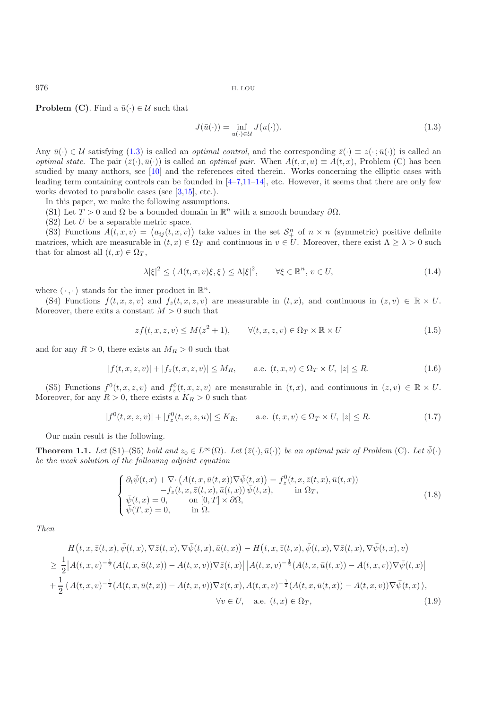**Problem (C)**. Find a  $\bar{u}(\cdot) \in \mathcal{U}$  such that

<span id="page-1-0"></span>
$$
J(\bar{u}(\cdot)) = \inf_{u(\cdot) \in \mathcal{U}} J(u(\cdot)).
$$
\n(1.3)

Any  $\bar{u}(\cdot) \in \mathcal{U}$  satisfying [\(1.3\)](#page-1-0) is called an *optimal control*, and the corresponding  $\bar{z}(\cdot) \equiv z(\cdot; \bar{u}(\cdot))$  is called an *optimal state*. The pair  $(\bar{z}(\cdot), \bar{u}(\cdot))$  is called an *optimal pair*. When  $A(t, x, u) \equiv A(t, x)$ , Problem (C) has been studied by many authors, see [\[10](#page-19-1)] and the references cited therein. Works concerning the elliptic cases with leading term containing controls can be founded in [\[4](#page-19-2)[–7](#page-19-3)[,11](#page-19-0)[–14](#page-19-4)], etc. However, it seems that there are only few works devoted to parabolic cases (see [\[3](#page-19-5)[,15\]](#page-19-6), etc.).

In this paper, we make the following assumptions.

(S1) Let  $T > 0$  and  $\Omega$  be a bounded domain in  $\mathbb{R}^n$  with a smooth boundary  $\partial\Omega$ .

 $(S2)$  Let U be a separable metric space.

(S3) Functions  $A(t, x, v) = (a_{ij}(t, x, v))$  take values in the set  $S_+^n$  of  $n \times n$  (symmetric) positive definite<br>trices which are measurable in  $(t, x) \in \Omega_x$  and continuous in  $v \in U$ . Moreover, there exist  $\Lambda > 1 > 0$  such matrices, which are measurable in  $(t, x) \in \Omega_T$  and continuous in  $v \in U$ . Moreover, there exist  $\Lambda \geq \lambda > 0$  such that for almost all  $(t, x) \in \Omega_T$ ,

$$
\lambda |\xi|^2 \le \langle A(t, x, v)\xi, \xi \rangle \le \Lambda |\xi|^2, \qquad \forall \xi \in \mathbb{R}^n, v \in U,
$$
\n(1.4)

where  $\langle \cdot, \cdot \rangle$  stands for the inner product in  $\mathbb{R}^n$ .<br>(S4) Functions  $f(t, x, z, y)$  and  $f(t, x, z, y)$ .

(S4) Functions  $f(t, x, z, v)$  and  $f_z(t, x, z, v)$  are measurable in  $(t, x)$ , and continuous in  $(z, v) \in \mathbb{R} \times U$ . Moreover, there exits a constant  $M > 0$  such that

$$
zf(t, x, z, v) \le M(z^2 + 1), \qquad \forall (t, x, z, v) \in \Omega_T \times \mathbb{R} \times U
$$
\n
$$
(1.5)
$$

and for any  $R > 0$ , there exists an  $M_R > 0$  such that

$$
|f(t, x, z, v)| + |f_z(t, x, z, v)| \le M_R, \qquad \text{a.e. } (t, x, v) \in \Omega_T \times U, \ |z| \le R. \tag{1.6}
$$

<span id="page-1-3"></span>(S5) Functions  $f^{0}(t, x, z, v)$  and  $f^{0}_{z}(t, x, z, v)$  are measurable in  $(t, x)$ , and continuous in  $(z, v) \in \mathbb{R} \times U$ . Moreover, for any  $R > 0$ , there exists a  $K_R > 0$  such that

$$
|f^{0}(t, x, z, v)| + |f_{z}^{0}(t, x, z, u)| \le K_{R}, \qquad \text{a.e. } (t, x, v) \in \Omega_{T} \times U, |z| \le R.
$$
 (1.7)

Our main result is the following.

<span id="page-1-2"></span>**Theorem 1.1.** *Let* (S1)–(S5) *hold and*  $z_0 \in L^{\infty}(\Omega)$ *. Let*  $(\bar{z}(\cdot), \bar{u}(\cdot))$  *be an optimal pair of Problem* (C)*. Let*  $\psi(\cdot)$ *be the weak solution of the following adjoint equation*

$$
\begin{cases}\n\partial_t \bar{\psi}(t,x) + \nabla \cdot \left( A(t,x,\bar{u}(t,x)) \nabla \bar{\psi}(t,x) \right) = f_z^0(t,x,\bar{z}(t,x),\bar{u}(t,x)) \\
-f_z(t,x,\bar{z}(t,x),\bar{u}(t,x)) \bar{\psi}(t,x), & \text{in } \Omega_T, \\
\bar{\psi}(t,x) = 0, & \text{on } [0,T] \times \partial \Omega, \\
\bar{\psi}(T,x) = 0, & \text{in } \Omega.\n\end{cases}
$$
\n(1.8)

<span id="page-1-4"></span><span id="page-1-1"></span>*Then*

$$
H(t, x, \bar{z}(t, x), \bar{\psi}(t, x), \nabla \bar{z}(t, x), \nabla \bar{\psi}(t, x), \bar{u}(t, x)) - H(t, x, \bar{z}(t, x), \bar{\psi}(t, x), \nabla \bar{z}(t, x), \nabla \bar{\psi}(t, x), v)
$$
\n
$$
\geq \frac{1}{2} |A(t, x, v)^{-\frac{1}{2}} (A(t, x, \bar{u}(t, x)) - A(t, x, v)) \nabla \bar{z}(t, x) | |A(t, x, v)^{-\frac{1}{2}} (A(t, x, \bar{u}(t, x)) - A(t, x, v)) \nabla \bar{\psi}(t, x)|
$$
\n
$$
+ \frac{1}{2} \langle A(t, x, v)^{-\frac{1}{2}} (A(t, x, \bar{u}(t, x)) - A(t, x, v)) \nabla \bar{z}(t, x), A(t, x, v)^{-\frac{1}{2}} (A(t, x, \bar{u}(t, x)) - A(t, x, v)) \nabla \bar{\psi}(t, x),
$$
\n
$$
\forall v \in U, \quad \text{a.e. } (t, x) \in \Omega_T,
$$
\n(1.9)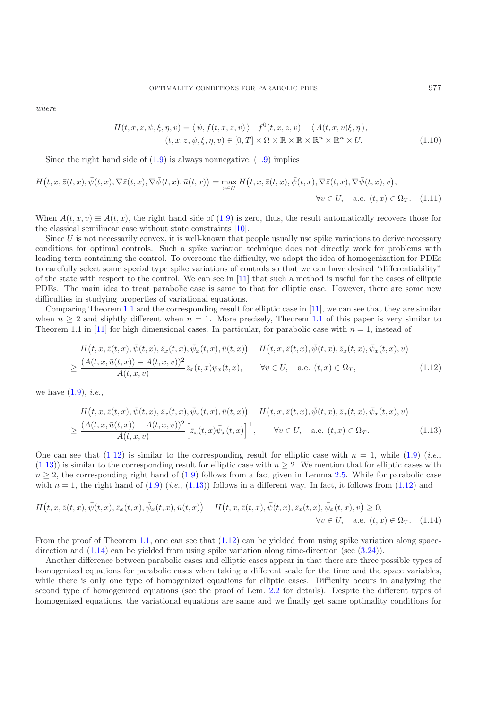<span id="page-2-3"></span>*where*

$$
H(t, x, z, \psi, \xi, \eta, v) = \langle \psi, f(t, x, z, v) \rangle - f^{0}(t, x, z, v) - \langle A(t, x, v)\xi, \eta \rangle,
$$
  

$$
(t, x, z, \psi, \xi, \eta, v) \in [0, T] \times \Omega \times \mathbb{R} \times \mathbb{R} \times \mathbb{R}^{n} \times \mathbb{R}^{n} \times U.
$$
 (1.10)

Since the right hand side of  $(1.9)$  is always nonnegative,  $(1.9)$  implies

$$
H(t, x, \bar{z}(t, x), \bar{\psi}(t, x), \nabla \bar{z}(t, x), \nabla \bar{\psi}(t, x), \bar{u}(t, x)) = \max_{v \in U} H(t, x, \bar{z}(t, x), \bar{\psi}(t, x), \nabla \bar{z}(t, x), \nabla \bar{\psi}(t, x), v),
$$
  
\n
$$
\forall v \in U, \quad \text{a.e. } (t, x) \in \Omega_T. \tag{1.11}
$$

When  $A(t, x, v) \equiv A(t, x)$ , the right hand side of [\(1.9\)](#page-1-1) is zero, thus, the result automatically recovers those for the classical semilinear case without state constraints [\[10\]](#page-19-1).

Since U is not necessarily convex, it is well-known that people usually use spike variations to derive necessary conditions for optimal controls. Such a spike variation technique does not directly work for problems with leading term containing the control. To overcome the difficulty, we adopt the idea of homogenization for PDEs to carefully select some special type spike variations of controls so that we can have desired "differentiability" of the state with respect to the control. We can see in [\[11\]](#page-19-0) that such a method is useful for the cases of elliptic PDEs. The main idea to treat parabolic case is same to that for elliptic case. However, there are some new difficulties in studying properties of variational equations.

<span id="page-2-0"></span>Comparing Theorem [1.1](#page-1-2) and the corresponding result for elliptic case in [\[11\]](#page-19-0), we can see that they are similar when  $n \geq 2$  and slightly different when  $n = 1$ . More precisely, Theorem [1.1](#page-1-2) of this paper is very similar to Theorem 1.1 in [\[11\]](#page-19-0) for high dimensional cases. In particular, for parabolic case with  $n = 1$ , instead of

$$
H(t, x, \overline{z}(t, x), \overline{\psi}(t, x), \overline{z}_x(t, x), \overline{\psi}_x(t, x), \overline{u}(t, x)) - H(t, x, \overline{z}(t, x), \overline{\psi}(t, x), \overline{z}_x(t, x), \overline{\psi}_x(t, x), v)
$$
  
\n
$$
\geq \frac{(A(t, x, \overline{u}(t, x)) - A(t, x, v))^2}{A(t, x, v)} \overline{z}_x(t, x) \overline{\psi}_x(t, x), \qquad \forall v \in U, \quad \text{a.e. } (t, x) \in \Omega_T,
$$
\n(1.12)

<span id="page-2-1"></span>we have [\(1.9\)](#page-1-1), *i.e.*,

<span id="page-2-2"></span>
$$
H(t, x, \bar{z}(t, x), \bar{\psi}(t, x), \bar{z}_x(t, x), \bar{\psi}_x(t, x), \bar{u}(t, x)) - H(t, x, \bar{z}(t, x), \bar{\psi}(t, x), \bar{z}_x(t, x), \bar{\psi}_x(t, x), v)
$$
  
\n
$$
\geq \frac{(A(t, x, \bar{u}(t, x)) - A(t, x, v))^2}{A(t, x, v)} \Big[ \bar{z}_x(t, x) \bar{\psi}_x(t, x) \Big]^+, \qquad \forall v \in U, \quad \text{a.e. } (t, x) \in \Omega_T.
$$
\n(1.13)

One can see that  $(1.12)$  is similar to the corresponding result for elliptic case with  $n = 1$ , while  $(1.9)$  (*i.e.*,  $(1.13)$ ) is similar to the corresponding result for elliptic case with  $n \geq 2$ . We mention that for elliptic cases with  $n \geq 2$ , the corresponding right hand of [\(1.9\)](#page-1-1) follows from a fact given in Lemma [2.5.](#page-10-0) While for parabolic case with  $n = 1$ , the right hand of  $(1.9)$  (*i.e.*,  $(1.13)$ ) follows in a different way. In fact, it follows from  $(1.12)$  and

$$
H(t, x, \overline{z}(t, x), \overline{\psi}(t, x), \overline{z}_x(t, x), \overline{\psi}_x(t, x), \overline{u}(t, x)) - H(t, x, \overline{z}(t, x), \overline{\psi}(t, x), \overline{z}_x(t, x), \overline{\psi}_x(t, x), v) \ge 0,
$$
  
  $\forall v \in U, \quad \text{a.e. } (t, x) \in \Omega_T.$  (1.14)

From the proof of Theorem [1.1,](#page-1-2) one can see that  $(1.12)$  can be yielded from using spike variation along spacedirection and  $(1.14)$  can be yielded from using spike variation along time-direction (see  $(3.24)$ ).

Another difference between parabolic cases and elliptic cases appear in that there are three possible types of homogenized equations for parabolic cases when taking a different scale for the time and the space variables, while there is only one type of homogenized equations for elliptic cases. Difficulty occurs in analyzing the second type of homogenized equations (see the proof of Lem. [2.2](#page-4-0) for details). Despite the different types of homogenized equations, the variational equations are same and we finally get same optimality conditions for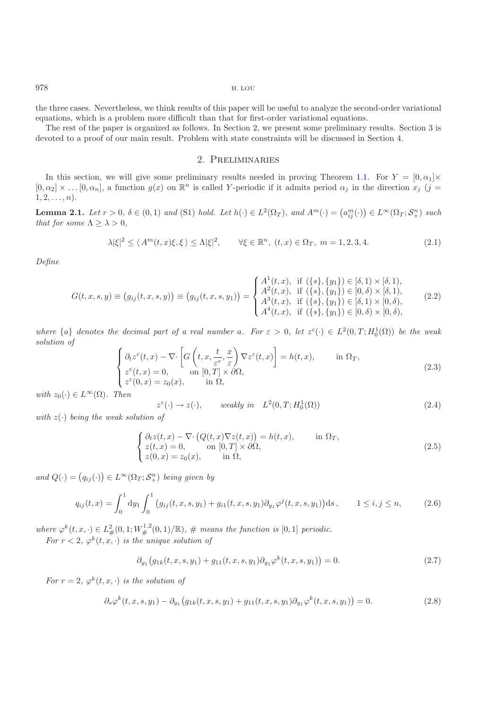the three cases. Nevertheless, we think results of this paper will be useful to analyze the second-order variational equations, which is a problem more difficult than that for first-order variational equations.

The rest of the paper is organized as follows. In Section 2, we present some preliminary results. Section 3 is devoted to a proof of our main result. Problem with state constraints will be discussed in Section 4.

#### 2. Preliminaries

In this section, we will give some preliminary results needed in proving Theorem [1.1.](#page-1-2) For  $Y = [0, \alpha_1] \times$  $[0, \alpha_2] \times \ldots [0, \alpha_n]$ , a function  $g(x)$  on  $\mathbb{R}^n$  is called Y-periodic if it admits period  $\alpha_j$  in the direction  $x_j$   $(j =$  $1, 2, \ldots, n$ ).

**Lemma 2.1.** *Let*  $r > 0$ ,  $\delta \in (0, 1)$  *and* (S1) *hold. Let*  $h(\cdot) \in L^2(\Omega_T)$ , *and*  $A^m(\cdot) = (a_{ij}^m(\cdot)) \in L^\infty(\Omega_T; \mathcal{S}_+^n)$  *such* that for some  $\Lambda > \lambda > 0$ *that for some*  $\Lambda \geq \lambda > 0$ *,* 

$$
\lambda|\xi|^2 \le \langle A^m(t,x)\xi,\xi\rangle \le \Lambda|\xi|^2, \qquad \forall \xi \in \mathbb{R}^n, \ (t,x) \in \Omega_T, \ m = 1,2,3,4. \tag{2.1}
$$

*Define*

$$
G(t, x, s, y) \equiv (g_{ij}(t, x, s, y)) \equiv (g_{ij}(t, x, s, y_1)) = \begin{cases} A^1(t, x), & \text{if } (\{s\}, \{y_1\}) \in [\delta, 1) \times [\delta, 1), \\ A^2(t, x), & \text{if } (\{s\}, \{y_1\}) \in [0, \delta) \times [\delta, 1), \\ A^3(t, x), & \text{if } (\{s\}, \{y_1\}) \in [\delta, 1) \times [0, \delta), \\ A^4(t, x), & \text{if } (\{s\}, \{y_1\}) \in [0, \delta) \times [0, \delta), \end{cases}
$$
(2.2)

*where*  $\{a\}$  *denotes the decimal part of a real number a. For*  $\varepsilon > 0$ , *let*  $z^{\varepsilon}(\cdot) \in L^2(0,T; H_0^1(\Omega))$  *be the weak* solution of *solution of*

$$
\begin{cases}\n\partial_t z^{\varepsilon}(t,x) - \nabla \cdot \left[ G\left(t,x,\frac{t}{\varepsilon^r},\frac{x}{\varepsilon}\right) \nabla z^{\varepsilon}(t,x) \right] = h(t,x), & \text{in } \Omega_T, \\
z^{\varepsilon}(t,x) = 0, & \text{on } [0,T] \times \partial\Omega, \\
z^{\varepsilon}(0,x) = z_0(x), & \text{in } \Omega,\n\end{cases}
$$
\n(2.3)

*with*  $z_0(\cdot) \in L^\infty(\Omega)$ *. Then* 

$$
z^{\varepsilon}(\cdot) \to z(\cdot), \qquad weakly \ in \quad L^{2}(0,T;H_{0}^{1}(\Omega)) \tag{2.4}
$$

*with* z(·) *being the weak solution of*

$$
\begin{cases}\n\partial_t z(t,x) - \nabla \cdot (Q(t,x) \nabla z(t,x)) = h(t,x), & \text{in } \Omega_T, \\
z(t,x) = 0, & \text{on } [0,T] \times \partial \Omega, \\
z(0,x) = z_0(x), & \text{in } \Omega,\n\end{cases}
$$
\n(2.5)

and  $Q(\cdot) = (q_{ij}(\cdot)) \in L^{\infty}(\Omega_T; \mathcal{S}^n_+)$  *being given by* 

$$
q_{ij}(t,x) = \int_0^1 dy_1 \int_0^1 (g_{ij}(t,x,s,y_1) + g_{i1}(t,x,s,y_1) \partial_{y_1} \varphi^j(t,x,s,y_1)) ds, \qquad 1 \le i, j \le n,
$$
 (2.6)

<span id="page-3-0"></span>where  $\varphi^k(t, x, \cdot) \in L^2_{\#}(0, 1; W^{1,2}_{\#}(0, 1)/\mathbb{R})$ , # *means the function is* [0, 1] *periodic.*<br>Figure  $\leq 2$ ,  $\leq k(t, x, \cdot)$  is the vision solution of *For*  $r < 2$ ,  $\varphi^k(t, x, \cdot)$  *is the unique solution of* 

$$
\partial_{y_1}(g_{1k}(t,x,s,y_1) + g_{11}(t,x,s,y_1)\partial_{y_1}\varphi^k(t,x,s,y_1)) = 0.
$$
\n(2.7)

*For*  $r = 2$ *,*  $\varphi^k(t, x, \cdot)$  *is the solution of* 

$$
\partial_s \varphi^k(t, x, s, y_1) - \partial_{y_1} (g_{1k}(t, x, s, y_1) + g_{11}(t, x, s, y_1) \partial_{y_1} \varphi^k(t, x, s, y_1)) = 0. \tag{2.8}
$$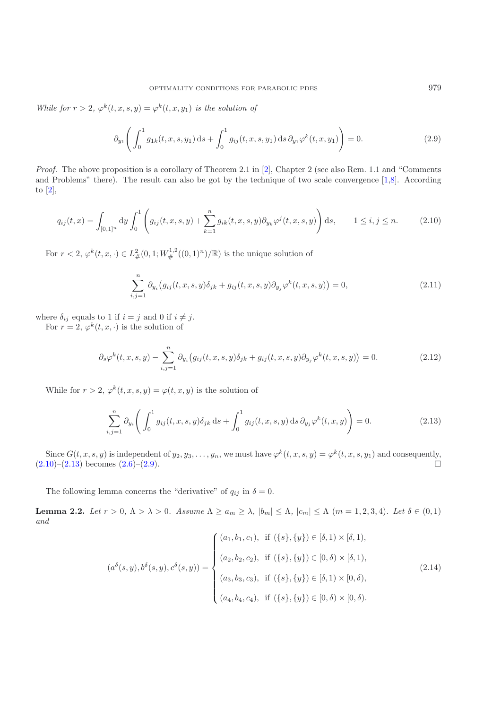<span id="page-4-3"></span>*While for*  $r > 2$ ,  $\varphi^k(t, x, s, y) = \varphi^k(t, x, y_1)$  *is the solution of* 

$$
\partial_{y_1} \left( \int_0^1 g_{1k}(t, x, s, y_1) \, ds + \int_0^1 g_{ij}(t, x, s, y_1) \, ds \, \partial_{y_1} \varphi^k(t, x, y_1) \right) = 0. \tag{2.9}
$$

*Proof.* The above proposition is a corollary of Theorem 2.1 in [\[2\]](#page-18-0), Chapter 2 (see also Rem. 1.1 and "Comments") and Problems" there). The result can also be got by the technique of two scale convergence [\[1](#page-18-1)[,8\]](#page-19-7). According to [\[2](#page-18-0)],

$$
q_{ij}(t,x) = \int_{[0,1]^n} dy \int_0^1 \left( g_{ij}(t,x,s,y) + \sum_{k=1}^n g_{ik}(t,x,s,y) \partial_{y_k} \varphi^j(t,x,s,y) \right) ds, \qquad 1 \le i, j \le n. \tag{2.10}
$$

<span id="page-4-1"></span>For  $r < 2$ ,  $\varphi^k(t, x, \cdot) \in L^2_{\#}(0, 1; W^{1,2}_{\#}((0, 1)^n)/\mathbb{R})$  is the unique solution of

$$
\sum_{i,j=1}^{n} \partial_{y_i} (g_{ij}(t, x, s, y)\delta_{jk} + g_{ij}(t, x, s, y)\partial_{y_j} \varphi^k(t, x, s, y)) = 0,
$$
\n(2.11)

where  $\delta_{ij}$  equals to 1 if  $i = j$  and 0 if  $i \neq j$ .

For  $r = 2$ ,  $\varphi^k(t, x, \cdot)$  is the solution of

$$
\partial_s \varphi^k(t, x, s, y) - \sum_{i,j=1}^n \partial_{y_i} \big( g_{ij}(t, x, s, y) \delta_{jk} + g_{ij}(t, x, s, y) \partial_{y_j} \varphi^k(t, x, s, y) \big) = 0. \tag{2.12}
$$

While for  $r > 2$ ,  $\varphi^k(t, x, s, y) = \varphi(t, x, y)$  is the solution of

$$
\sum_{i,j=1}^{n} \partial_{y_i} \left( \int_0^1 g_{ij}(t,x,s,y) \delta_{jk} \, ds + \int_0^1 g_{ij}(t,x,s,y) \, ds \, \partial_{y_j} \varphi^k(t,x,y) \right) = 0. \tag{2.13}
$$

<span id="page-4-2"></span>Since  $G(t, x, s, y)$  is independent of  $y_2, y_3, \ldots, y_n$ , we must have  $\varphi^k(t, x, s, y) = \varphi^k(t, x, s, y_1)$  and consequently,<br>10)–(2.13) becomes (2.6)–(2.9)  $(2.10)$ – $(2.13)$  becomes  $(2.6)$ – $(2.9)$ .

The following lemma concerns the "derivative" of  $q_{ij}$  in  $\delta = 0$ .

<span id="page-4-0"></span>**Lemma 2.2.** *Let*  $r > 0$ ,  $\Lambda > \lambda > 0$ *. Assume*  $\Lambda \ge a_m \ge \lambda$ ,  $|b_m| \le \Lambda$ ,  $|c_m| \le \Lambda$   $(m = 1, 2, 3, 4)$ *. Let*  $\delta \in (0, 1)$ *and*

$$
(a^{\delta}(s,y),b^{\delta}(s,y),c^{\delta}(s,y)) = \begin{cases} (a_1,b_1,c_1), \text{ if } (\{s\},\{y\}) \in [\delta,1) \times [\delta,1), \\ (a_2,b_2,c_2), \text{ if } (\{s\},\{y\}) \in [0,\delta) \times [\delta,1), \\ (a_3,b_3,c_3), \text{ if } (\{s\},\{y\}) \in [\delta,1) \times [0,\delta), \\ (a_4,b_4,c_4), \text{ if } (\{s\},\{y\}) \in [0,\delta) \times [0,\delta). \end{cases}
$$
(2.14)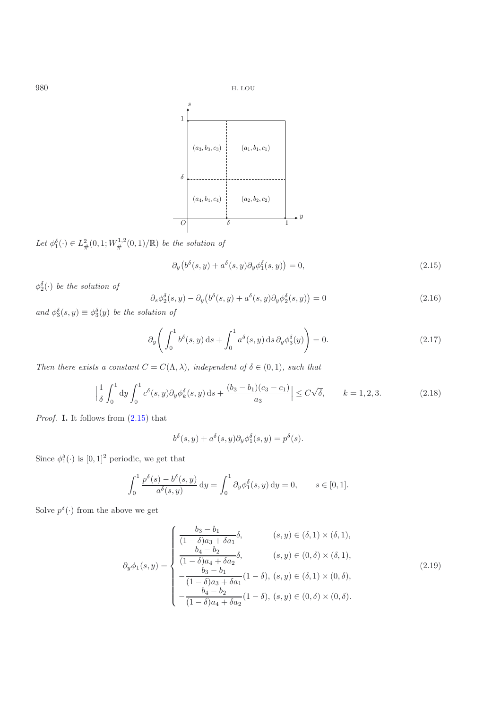

Let  $\phi_1^{\delta}(\cdot) \in L^2_{\#}(0,1;W^{1,2}_{\#}(0,1)/\mathbb{R})$  *be the solution of* 

$$
\partial_y \left( b^\delta(s, y) + a^\delta(s, y) \partial_y \phi_1^\delta(s, y) \right) = 0,\tag{2.15}
$$

<span id="page-5-1"></span> $\phi_2^{\delta}(\cdot)$  *be the solution of* 

<span id="page-5-0"></span>
$$
\partial_s \phi_2^{\delta}(s, y) - \partial_y \left( b^{\delta}(s, y) + a^{\delta}(s, y) \partial_y \phi_2^{\delta}(s, y) \right) = 0 \tag{2.16}
$$

and  $\phi_3^{\delta}(s, y) \equiv \phi_3^{\delta}(y)$  *be the solution of* 

$$
\partial_y \left( \int_0^1 b^\delta(s, y) \, ds + \int_0^1 a^\delta(s, y) \, ds \, \partial_y \phi_3^\delta(y) \right) = 0. \tag{2.17}
$$

*Then there exists a constant*  $C = C(\Lambda, \lambda)$ *, independent of*  $\delta \in (0, 1)$ *, such that* 

<span id="page-5-2"></span>
$$
\left|\frac{1}{\delta} \int_0^1 dy \int_0^1 c^{\delta}(s, y) \partial_y \phi_k^{\delta}(s, y) ds + \frac{(b_3 - b_1)(c_3 - c_1)}{a_3}\right| \le C\sqrt{\delta}, \qquad k = 1, 2, 3.
$$
 (2.18)

<span id="page-5-4"></span>*Proof.* **I.** It follows from [\(2.15\)](#page-5-0) that

$$
b^{\delta}(s, y) + a^{\delta}(s, y)\partial_y \phi_1^{\delta}(s, y) = p^{\delta}(s).
$$

Since  $\phi_1^{\delta}(\cdot)$  is  $[0, 1]^2$  periodic, we get that

$$
\int_0^1 \frac{p^{\delta}(s) - b^{\delta}(s, y)}{a^{\delta}(s, y)} dy = \int_0^1 \partial_y \phi_1^{\delta}(s, y) dy = 0, \qquad s \in [0, 1].
$$

<span id="page-5-3"></span>Solve  $p^{\delta}(\cdot)$  from the above we get

$$
\partial_y \phi_1(s, y) = \begin{cases}\n\frac{b_3 - b_1}{(1 - \delta)a_3 + \delta a_1} \delta, & (s, y) \in (\delta, 1) \times (\delta, 1), \\
\frac{b_4 - b_2}{(1 - \delta)a_4 + \delta a_2} \delta, & (s, y) \in (0, \delta) \times (\delta, 1), \\
-\frac{b_3 - b_1}{(1 - \delta)a_3 + \delta a_1} (1 - \delta), (s, y) \in (\delta, 1) \times (0, \delta), \\
-\frac{b_4 - b_2}{(1 - \delta)a_4 + \delta a_2} (1 - \delta), (s, y) \in (0, \delta) \times (0, \delta).\n\end{cases} (2.19)
$$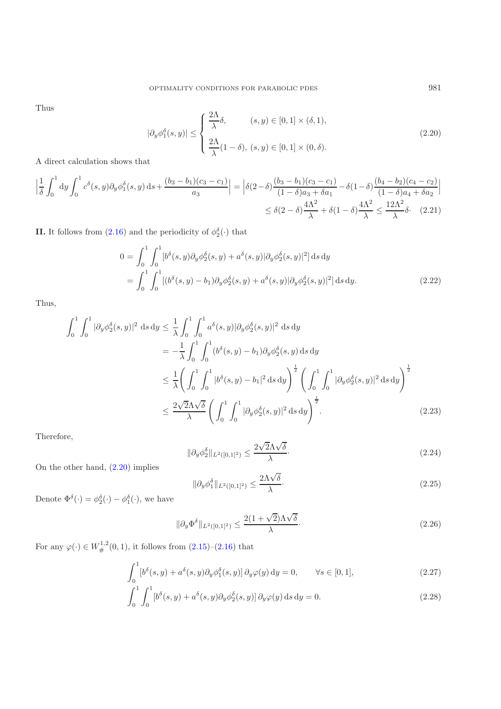<span id="page-6-0"></span>Thus

$$
|\partial_y \phi_1^{\delta}(s, y)| \le \begin{cases} \frac{2\Lambda}{\lambda} \delta, & (s, y) \in [0, 1] \times (\delta, 1), \\ \frac{2\Lambda}{\lambda} (1 - \delta), (s, y) \in [0, 1] \times (0, \delta). \end{cases}
$$
(2.20)

A direct calculation shows that

$$
\left| \frac{1}{\delta} \int_0^1 dy \int_0^1 c^{\delta}(s, y) \partial_y \phi_1^{\delta}(s, y) ds + \frac{(b_3 - b_1)(c_3 - c_1)}{a_3} \right| = \left| \delta(2 - \delta) \frac{(b_3 - b_1)(c_3 - c_1)}{(1 - \delta)a_3 + \delta a_1} - \delta(1 - \delta) \frac{(b_4 - b_2)(c_4 - c_2)}{(1 - \delta)a_4 + \delta a_2} \right|
$$
  

$$
\leq \delta(2 - \delta) \frac{4\Lambda^2}{\lambda} + \delta(1 - \delta) \frac{4\Lambda^2}{\lambda} \leq \frac{12\Lambda^2}{\lambda} \delta. \quad (2.21)
$$

<span id="page-6-1"></span>**II.** It follows from [\(2.16\)](#page-5-1) and the periodicity of  $\phi_2^{\delta}(\cdot)$  that

$$
0 = \int_0^1 \int_0^1 [b^{\delta}(s, y)\partial_y \phi_2^{\delta}(s, y) + a^{\delta}(s, y)|\partial_y \phi_2^{\delta}(s, y)|^2] ds dy
$$
  
= 
$$
\int_0^1 \int_0^1 [(b^{\delta}(s, y) - b_1)\partial_y \phi_2^{\delta}(s, y) + a^{\delta}(s, y)|\partial_y \phi_2^{\delta}(s, y)|^2] ds dy.
$$
 (2.22)

Thus,

$$
\int_{0}^{1} \int_{0}^{1} |\partial_{y} \phi_{2}^{\delta}(s, y)|^{2} ds dy \leq \frac{1}{\lambda} \int_{0}^{1} \int_{0}^{1} a^{\delta}(s, y) |\partial_{y} \phi_{2}^{\delta}(s, y)|^{2} ds dy \n= -\frac{1}{\lambda} \int_{0}^{1} \int_{0}^{1} (b^{\delta}(s, y) - b_{1}) \partial_{y} \phi_{2}^{\delta}(s, y) ds dy \n\leq \frac{1}{\lambda} \left( \int_{0}^{1} \int_{0}^{1} |b^{\delta}(s, y) - b_{1}|^{2} ds dy \right)^{\frac{1}{2}} \left( \int_{0}^{1} \int_{0}^{1} |\partial_{y} \phi_{2}^{\delta}(s, y)|^{2} ds dy \right)^{\frac{1}{2}} \n\leq \frac{2\sqrt{2}\Lambda\sqrt{\delta}}{\lambda} \left( \int_{0}^{1} \int_{0}^{1} |\partial_{y} \phi_{2}^{\delta}(s, y)|^{2} ds dy \right)^{\frac{1}{2}}.
$$
\n(2.23)

Therefore,

$$
\|\partial_y \phi_2^{\delta}\|_{L^2([0,1]^2)} \le \frac{2\sqrt{2}\Lambda\sqrt{\delta}}{\lambda}.
$$
\n(2.24)

On the other hand, [\(2.20\)](#page-6-0) implies

$$
\|\partial_y \phi_1^\delta\|_{L^2([0,1]^2)} \le \frac{2\Lambda\sqrt{\delta}}{\lambda}.\tag{2.25}
$$

Denote  $\Phi^{\delta}(\cdot) = \phi_2^{\delta}(\cdot) - \phi_1^{\delta}(\cdot)$ , we have

$$
\|\partial_y \Phi^{\delta}\|_{L^2([0,1]^2)} \le \frac{2(1+\sqrt{2})\Lambda\sqrt{\delta}}{\lambda}.
$$
\n(2.26)

For any  $\varphi(\cdot) \in W^{1,2}_{\#}(0,1)$ , it follows from  $(2.15)-(2.16)$  $(2.15)-(2.16)$  $(2.15)-(2.16)$  that

$$
\int_0^1 \left[b^\delta(s, y) + a^\delta(s, y)\partial_y \phi_1^\delta(s, y)\right] \partial_y \varphi(y) \, \mathrm{d}y = 0, \qquad \forall s \in [0, 1],\tag{2.27}
$$

$$
\int_0^1 \int_0^1 \left[b^\delta(s, y) + a^\delta(s, y)\partial_y \phi_2^\delta(s, y)\right] \partial_y \varphi(y) \,ds \,dy = 0. \tag{2.28}
$$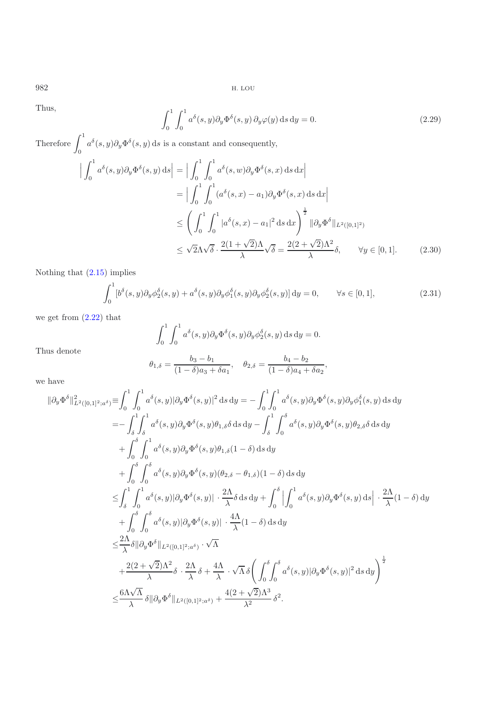Thus,  

$$
\int_0^1 \int_0^1 a^{\delta}(s, y) \partial_y \Phi^{\delta}(s, y) \partial_y \varphi(y) ds dy = 0.
$$
 (2.29)

<span id="page-7-0"></span>Therefore  $\int_0^1 a^{\delta}(s, y) \partial_y \Phi^{\delta}(s, y) ds$  is a constant and consequently,

$$
\left| \int_0^1 a^\delta(s, y) \partial_y \Phi^\delta(s, y) \, ds \right| = \left| \int_0^1 \int_0^1 a^\delta(s, w) \partial_y \Phi^\delta(s, x) \, ds \, dx \right|
$$
  
\n
$$
= \left| \int_0^1 \int_0^1 (a^\delta(s, x) - a_1) \partial_y \Phi^\delta(s, x) \, ds \, dx \right|
$$
  
\n
$$
\leq \left( \int_0^1 \int_0^1 |a^\delta(s, x) - a_1|^2 \, ds \, dx \right)^{\frac{1}{2}} \|\partial_y \Phi^\delta\|_{L^2([0, 1]^2)}
$$
  
\n
$$
\leq \sqrt{2} \Lambda \sqrt{\delta} \cdot \frac{2(1 + \sqrt{2})\Lambda}{\lambda} \sqrt{\delta} = \frac{2(2 + \sqrt{2})\Lambda^2}{\lambda} \delta, \qquad \forall y \in [0, 1].
$$
 (2.30)

Nothing that [\(2.15\)](#page-5-0) implies

$$
\int_0^1 \left[ b^\delta(s, y) \partial_y \phi_2^\delta(s, y) + a^\delta(s, y) \partial_y \phi_1^\delta(s, y) \partial_y \phi_2^\delta(s, y) \right] dy = 0, \qquad \forall s \in [0, 1],
$$
\n(2.31)

we get from  $(2.22)$  that

$$
\int_0^1 \int_0^1 a^{\delta}(s, y) \partial_y \Phi^{\delta}(s, y) \partial_y \phi_2^{\delta}(s, y) ds dy = 0.
$$

Thus denote

$$
\theta_{1,\delta} = \frac{b_3 - b_1}{(1 - \delta)a_3 + \delta a_1}, \quad \theta_{2,\delta} = \frac{b_4 - b_2}{(1 - \delta)a_4 + \delta a_2},
$$

we have

$$
\|\partial_y\Phi^{\delta}\|^2_{L^2([0,1]^2;a^{\delta})} \equiv \int_0^1 \int_0^1 a^{\delta}(s,y)|\partial_y\Phi^{\delta}(s,y)|^2 ds dy = -\int_0^1 \int_0^1 a^{\delta}(s,y)\partial_y\Phi^{\delta}(s,y)\partial_y\phi^{\delta}(s,y) ds dy
$$
  
\n
$$
= -\int_{\delta}^1 \int_0^1 a^{\delta}(s,y)\partial_y\Phi^{\delta}(s,y)\theta_{1,\delta}\delta ds dy - \int_{\delta}^1 \int_0^{\delta} a^{\delta}(s,y)\partial_y\Phi^{\delta}(s,y)\theta_{2,\delta}\delta ds dy
$$
  
\n
$$
+ \int_0^{\delta} \int_0^1 a^{\delta}(s,y)\partial_y\Phi^{\delta}(s,y)\theta_{1,\delta}(1-\delta) ds dy
$$
  
\n
$$
+ \int_0^{\delta} \int_0^{\delta} a^{\delta}(s,y)\partial_y\Phi^{\delta}(s,y)(\theta_{2,\delta} - \theta_{1,\delta})(1-\delta) ds dy
$$
  
\n
$$
\leq \int_0^1 \int_0^1 a^{\delta}(s,y)|\partial_y\Phi^{\delta}(s,y)| \cdot \frac{2\Lambda}{\lambda}\delta ds dy + \int_0^{\delta} \left| \int_0^1 a^{\delta}(s,y)\partial_y\Phi^{\delta}(s,y) ds \right| \cdot \frac{2\Lambda}{\lambda}(1-\delta) dy
$$
  
\n
$$
+ \int_0^{\delta} \int_0^{\delta} a^{\delta}(s,y)|\partial_y\Phi^{\delta}(s,y)| \cdot \frac{4\Lambda}{\lambda}(1-\delta) ds dy
$$
  
\n
$$
\leq \frac{2\Lambda}{\lambda}\delta \|\partial_y\Phi^{\delta}\|_{L^2([0,1]^2;a^{\delta})} \cdot \sqrt{\Lambda}
$$
  
\n
$$
+ \frac{2(2+\sqrt{2})\Lambda^2}{\lambda}\delta \cdot \frac{2\Lambda}{\lambda}\delta + \frac{4\Lambda}{\lambda} \cdot \sqrt{\Lambda}\delta \left( \int_0^{\delta} \int_0^{\delta} a^{\delta}(s,y)|\partial_y\Phi^{\delta}(s,y)|^2 ds dy \right)^{\frac{1}{2}}
$$
  
\n
$$
\leq \frac{6\Lambda\sqrt{\Lambda}}{\lambda}\delta \|\partial_y\Phi^{\delta}\|_{L^2([0,1]^2;a^{\delta})}
$$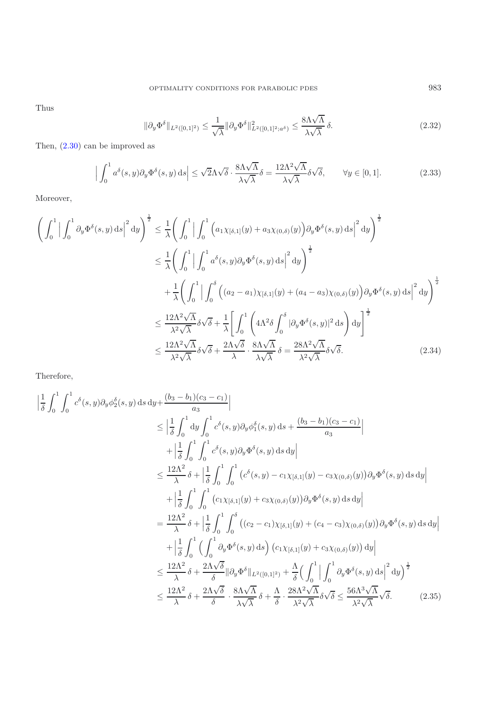Thus

$$
\|\partial_y \Phi^\delta\|_{L^2([0,1]^2)} \le \frac{1}{\sqrt{\lambda}} \|\partial_y \Phi^\delta\|_{L^2([0,1]^2; a^\delta)}^2 \le \frac{8\Lambda\sqrt{\lambda}}{\lambda\sqrt{\lambda}} \delta. \tag{2.32}
$$

Then, [\(2.30\)](#page-7-0) can be improved as

$$
\left| \int_0^1 a^\delta(s, y) \partial_y \Phi^\delta(s, y) \, ds \right| \le \sqrt{2} \Lambda \sqrt{\delta} \cdot \frac{8 \Lambda \sqrt{\Lambda}}{\lambda \sqrt{\lambda}} \delta = \frac{12 \Lambda^2 \sqrt{\Lambda}}{\lambda \sqrt{\lambda}} \delta \sqrt{\delta}, \qquad \forall y \in [0, 1]. \tag{2.33}
$$

Moreover,

$$
\left(\int_{0}^{1} \left| \int_{0}^{1} \partial_{y} \Phi^{\delta}(s, y) \, ds \right|^{2} dy\right)^{\frac{1}{2}} \leq \frac{1}{\lambda} \left(\int_{0}^{1} \left| \int_{0}^{1} \left( a_{1} \chi_{\left[\delta, 1\right]}(y) + a_{3} \chi_{\left(0, \delta\right)}(y) \right) \partial_{y} \Phi^{\delta}(s, y) \, ds \right|^{2} dy\right)^{\frac{1}{2}}
$$
\n
$$
\leq \frac{1}{\lambda} \left(\int_{0}^{1} \left| \int_{0}^{1} a^{\delta}(s, y) \partial_{y} \Phi^{\delta}(s, y) \, ds \right|^{2} dy\right)^{\frac{1}{2}}
$$
\n
$$
+ \frac{1}{\lambda} \left(\int_{0}^{1} \left| \int_{0}^{\delta} \left( (a_{2} - a_{1}) \chi_{\left[\delta, 1\right]}(y) + (a_{4} - a_{3}) \chi_{\left(0, \delta\right)}(y) \right) \partial_{y} \Phi^{\delta}(s, y) \, ds \right|^{2} dy\right)^{\frac{1}{2}}
$$
\n
$$
\leq \frac{12\Lambda^{2} \sqrt{\Lambda}}{\lambda^{2} \sqrt{\lambda}} \delta \sqrt{\delta} + \frac{1}{\lambda} \left[ \int_{0}^{1} \left( 4\Lambda^{2} \delta \int_{0}^{\delta} |\partial_{y} \Phi^{\delta}(s, y)|^{2} \, ds \right) dy \right]^{\frac{1}{2}}
$$
\n
$$
\leq \frac{12\Lambda^{2} \sqrt{\Lambda}}{\lambda^{2} \sqrt{\lambda}} \delta \sqrt{\delta} + \frac{2\Lambda \sqrt{\delta}}{\lambda} \cdot \frac{8\Lambda \sqrt{\Lambda}}{\lambda \sqrt{\lambda}} \delta = \frac{28\Lambda^{2} \sqrt{\Lambda}}{\lambda^{2} \sqrt{\lambda}} \delta \sqrt{\delta}. \tag{2.34}
$$

Therefore,

<span id="page-8-0"></span>
$$
\begin{split}\n&\left|\frac{1}{\delta}\int_{0}^{1} \int_{0}^{1} c^{\delta}(s,y) \partial_{y} \phi_{2}^{\delta}(s,y) \,ds \,dy + \frac{(b_{3}-b_{1})(c_{3}-c_{1})}{a_{3}}\right| \\
&\leq \left|\frac{1}{\delta}\int_{0}^{1} dy \int_{0}^{1} c^{\delta}(s,y) \partial_{y} \phi_{1}^{\delta}(s,y) \,ds + \frac{(b_{3}-b_{1})(c_{3}-c_{1})}{a_{3}}\right| \\
&+ \left|\frac{1}{\delta}\int_{0}^{1} \int_{0}^{1} c^{\delta}(s,y) \partial_{y} \Phi^{\delta}(s,y) \,ds \,dy\right| \\
&\leq \frac{12\Lambda^{2}}{\lambda} \delta + \left|\frac{1}{\delta}\int_{0}^{1} \int_{0}^{1} (c^{\delta}(s,y) - c_{1}\chi_{[\delta,1]}(y) - c_{3}\chi_{(0,\delta)}(y)) \partial_{y} \Phi^{\delta}(s,y) \,ds \,dy\right| \\
&+ \left|\frac{1}{\delta}\int_{0}^{1} \int_{0}^{1} (c_{1}\chi_{[\delta,1]}(y) + c_{3}\chi_{(0,\delta)}(y)) \partial_{y} \Phi^{\delta}(s,y) \,ds \,dy\right| \\
&= \frac{12\Lambda^{2}}{\lambda} \delta + \left|\frac{1}{\delta}\int_{0}^{1} \int_{0}^{\delta} \left((c_{2}-c_{1})\chi_{[\delta,1]}(y) + (c_{4}-c_{3})\chi_{(0,\delta)}(y)\right) \partial_{y} \Phi^{\delta}(s,y) \,ds \,dy\right| \\
&+ \left|\frac{1}{\delta}\int_{0}^{1} \left(\int_{0}^{1} \partial_{y} \Phi^{\delta}(s,y) \,ds\right) (c_{1}\chi_{[\delta,1]}(y) + c_{3}\chi_{(0,\delta)}(y)) \,dy\right| \\
&\leq \frac{12\Lambda^{2}}{\lambda} \delta + \frac{2\Lambda\sqrt{\delta}}{\delta} ||\partial_{y} \Phi^{\delta}||_{L^{2}([0,1]^{2})} + \frac{\Lambda}{\delta} \left(\int_{0}^{1} \left|\int_{0}^{1} \partial_{y} \Phi^{\delta}(s,y) \,ds\right|^{2} dy\right)^{\frac{1}{2}} \\
&\leq \frac{12
$$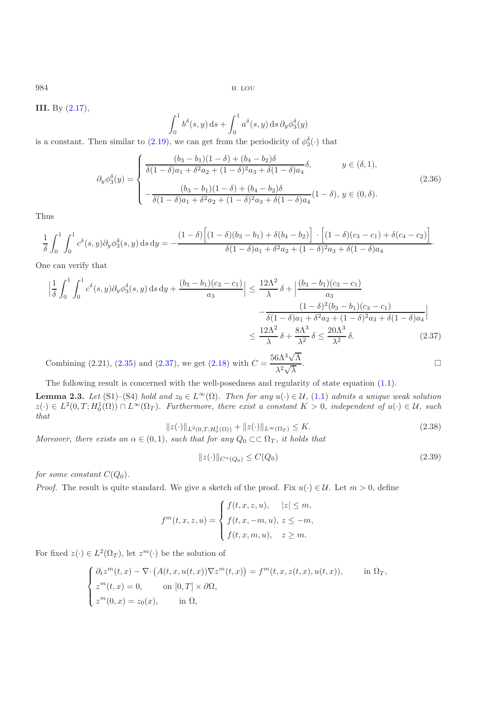**III.** By [\(2.17\)](#page-5-2),

$$
\int_0^1 b^{\delta}(s, y) ds + \int_0^1 a^{\delta}(s, y) ds \, \partial_y \phi_3^{\delta}(y)
$$

is a constant. Then similar to [\(2.19\)](#page-5-3), we can get from the periodicity of  $\phi_3^{\delta}(\cdot)$  that

$$
\partial_y \phi_3^{\delta}(y) = \begin{cases}\n\frac{(b_3 - b_1)(1 - \delta) + (b_4 - b_2)\delta}{\delta(1 - \delta)a_1 + \delta^2 a_2 + (1 - \delta)^2 a_3 + \delta(1 - \delta)a_4}\delta, & y \in (\delta, 1), \\
-\frac{(b_3 - b_1)(1 - \delta) + (b_4 - b_2)\delta}{\delta(1 - \delta)a_1 + \delta^2 a_2 + (1 - \delta)^2 a_3 + \delta(1 - \delta)a_4}(1 - \delta), & y \in (0, \delta).\n\end{cases}
$$
\n(2.36)

Thus

$$
\frac{1}{\delta} \int_0^1 \int_0^1 c^{\delta}(s, y) \partial_y \phi_3^{\delta}(s, y) ds dy = -\frac{(1 - \delta) \Big[ (1 - \delta)(b_3 - b_1) + \delta(b_4 - b_2) \Big] \cdot \Big[ (1 - \delta)(c_3 - c_1) + \delta(c_4 - c_2) \Big]}{\delta(1 - \delta)a_1 + \delta^2 a_2 + (1 - \delta)^2 a_3 + \delta(1 - \delta)a_4}.
$$

<span id="page-9-0"></span>One can verify that

$$
\left| \frac{1}{\delta} \int_{0}^{1} \int_{0}^{1} c^{\delta}(s, y) \partial_{y} \phi_{3}^{\delta}(s, y) ds dy + \frac{(b_{3} - b_{1})(c_{3} - c_{1})}{a_{3}} \right| \leq \frac{12\Lambda^{2}}{\lambda} \delta + \left| \frac{(b_{3} - b_{1})(c_{3} - c_{1})}{a_{3}} - \frac{(1 - \delta)^{2}(b_{3} - b_{1})(c_{3} - c_{1})}{\delta(1 - \delta)a_{1} + \delta^{2}a_{2} + (1 - \delta)^{2}a_{3} + \delta(1 - \delta)a_{4}} \right|
$$
  

$$
\leq \frac{12\Lambda^{2}}{\lambda} \delta + \frac{8\Lambda^{3}}{\lambda^{2}} \delta \leq \frac{20\Lambda^{3}}{\lambda^{2}} \delta. \tag{2.37}
$$

Combining (2.21), [\(2.35\)](#page-8-0) and [\(2.37\)](#page-9-0), we get [\(2.18\)](#page-5-4) with  $C = \frac{56\Lambda^3\sqrt{\lambda}}{\lambda^2\sqrt{\lambda}}$ Λ  $\frac{1}{\lambda^2}$ Combining (2.21), (2.35) and (2.37), we get (2.18) with  $C = \frac{32\sqrt{1}}{\sqrt{2}}$ .<br>The following result is concerned with the well-posedness and regularity of state equation [\(1.1\)](#page-0-0).

**Lemma 2.3.** *Let* (S1)–(S4) *hold and*  $z_0 \in L^{\infty}(\Omega)$ *. Then for any*  $u(\cdot) \in \mathcal{U}$ , [\(1.1\)](#page-0-0) *admits a unique weak solution*  $z(\cdot) \in L^2(0,T; H_0^1(\Omega)) \cap L^{\infty}(\Omega_T)$ . Furthermore, there exist a constant  $K > 0$ , independent of  $u(\cdot) \in \mathcal{U}$ , such that *that*

<span id="page-9-2"></span><span id="page-9-1"></span>
$$
||z(\cdot)||_{L^{2}(0,T;H_{0}^{1}(\Omega))} + ||z(\cdot)||_{L^{\infty}(\Omega_{T})} \leq K.
$$
\n(2.38)

*Moreover, there exists an*  $\alpha \in (0,1)$ *, such that for any*  $Q_0 \subset\subset \Omega_T$ *, it holds that* 

$$
||z(\cdot)||_{C^{\alpha}(Q_0)} \le C(Q_0)
$$
\n(2.39)

 $\Box$ 

*for some constant*  $C(Q_0)$ *.* 

*Proof.* The result is quite standard. We give a sketch of the proof. Fix  $u(\cdot) \in \mathcal{U}$ . Let  $m > 0$ , define

$$
f^{m}(t, x, z, u) = \begin{cases} f(t, x, z, u), & |z| \leq m, \\ f(t, x, -m, u), & z \leq -m, \\ f(t, x, m, u), & z \geq m. \end{cases}
$$

For fixed  $z(\cdot) \in L^2(\Omega_T)$ , let  $z^m(\cdot)$  be the solution of

$$
\begin{cases}\n\partial_t z^m(t,x) - \nabla \cdot (A(t,x,u(t,x)) \nabla z^m(t,x)) = f^m(t,x,z(t,x),u(t,x)), & \text{in } \Omega_T, \\
z^m(t,x) = 0, & \text{on } [0,T] \times \partial\Omega, \\
z^m(0,x) = z_0(x), & \text{in } \Omega,\n\end{cases}
$$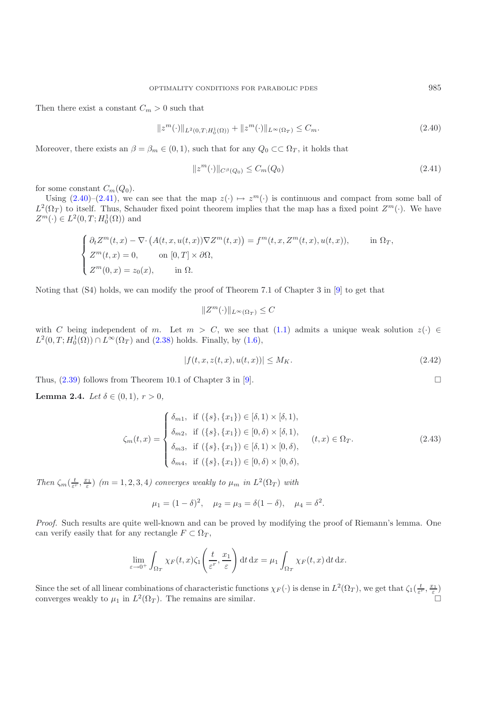Then there exist a constant  $C_m > 0$  such that

<span id="page-10-2"></span><span id="page-10-1"></span>
$$
||z^m(\cdot)||_{L^2(0,T;H_0^1(\Omega))} + ||z^m(\cdot)||_{L^\infty(\Omega_T)} \le C_m.
$$
\n(2.40)

Moreover, there exists an  $\beta = \beta_m \in (0, 1)$ , such that for any  $Q_0 \subset\subset \Omega_T$ , it holds that

$$
||z^m(\cdot)||_{C^{\beta}(Q_0)} \le C_m(Q_0)
$$
\n(2.41)

for some constant  $C_m(Q_0)$ .

Using  $(2.40)-(2.41)$  $(2.40)-(2.41)$  $(2.40)-(2.41)$ , we can see that the map  $z(\cdot) \mapsto z^m(\cdot)$  is continuous and compact from some ball of  $L^2(\Omega_T)$  to itself. Thus, Schauder fixed point theorem implies that the map has a fixed point  $Z^m(\cdot)$ . We have  $Z^m(\cdot) \in L^2(0,T; H_0^1(\Omega))$  and

$$
\begin{cases}\n\partial_t Z^m(t,x) - \nabla \cdot (A(t,x,u(t,x)) \nabla Z^m(t,x)) = f^m(t,x,Z^m(t,x),u(t,x)), & \text{in } \Omega_T, \\
Z^m(t,x) = 0, & \text{on } [0,T] \times \partial \Omega, \\
Z^m(0,x) = z_0(x), & \text{in } \Omega.\n\end{cases}
$$

Noting that (S4) holds, we can modify the proof of Theorem 7.1 of Chapter 3 in [\[9\]](#page-19-8) to get that

$$
||Z^m(\cdot)||_{L^\infty(\Omega_T)} \leq C
$$

with C being independent of m. Let  $m > C$ , we see that [\(1.1\)](#page-0-0) admits a unique weak solution  $z(\cdot) \in$  $L^2(0,T; H_0^1(\Omega)) \cap L^{\infty}(\Omega_T)$  and [\(2.38\)](#page-9-1) holds. Finally, by [\(1.6\)](#page-1-3),

$$
|f(t, x, z(t, x), u(t, x))| \le M_K. \tag{2.42}
$$

Thus,  $(2.39)$  follows from Theorem 10.1 of Chapter 3 in [\[9](#page-19-8)].

**Lemma 2.4.** *Let*  $\delta \in (0,1)$ *,*  $r > 0$ *,* 

$$
\zeta_m(t,x) = \begin{cases}\n\delta_{m1}, & \text{if } (\{s\}, \{x_1\}) \in [\delta, 1) \times [\delta, 1), \\
\delta_{m2}, & \text{if } (\{s\}, \{x_1\}) \in [0, \delta) \times [\delta, 1), \\
\delta_{m3}, & \text{if } (\{s\}, \{x_1\}) \in [\delta, 1) \times [0, \delta), \\
\delta_{m4}, & \text{if } (\{s\}, \{x_1\}) \in [0, \delta) \times [0, \delta),\n\end{cases}
$$
\n(2.43)

*Then*  $\zeta_m(\frac{t}{\varepsilon^r}, \frac{x_1}{\varepsilon})$  *(m = 1, 2, 3, 4) converges weakly to*  $\mu_m$  *in*  $L^2(\Omega_T)$  *with* 

$$
\mu_1 = (1 - \delta)^2
$$
,  $\mu_2 = \mu_3 = \delta(1 - \delta)$ ,  $\mu_4 = \delta^2$ .

*Proof.* Such results are quite well-known and can be proved by modifying the proof of Riemann's lemma. One can verify easily that for any rectangle  $F \subset \Omega_T$ ,

$$
\lim_{\varepsilon \to 0^+} \int_{\Omega_T} \chi_F(t, x) \zeta_1\left(\frac{t}{\varepsilon^r}, \frac{x_1}{\varepsilon}\right) dt \, dx = \mu_1 \int_{\Omega_T} \chi_F(t, x) \, dt \, dx.
$$

<span id="page-10-0"></span>Since the set of all linear combinations of characteristic functions  $\chi_F(\cdot)$  is dense in  $L^2(\Omega_T)$ , we get that  $\zeta_1(\frac{t}{\varepsilon^r},\frac{x_1}{\varepsilon})$ converges weakly to  $\mu_1$  in  $L^2(\Omega_T)$ . The remains are similar.  $\square$ 

 $\Box$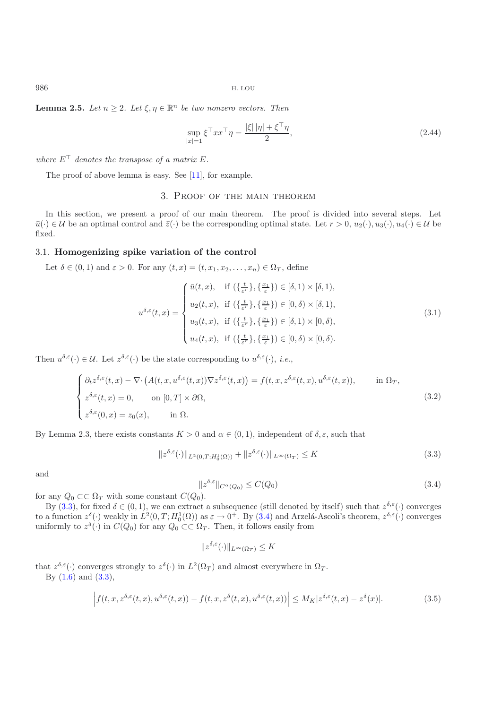**Lemma 2.5.** *Let*  $n \geq 2$ *. Let*  $\xi, \eta \in \mathbb{R}^n$  *be two nonzero vectors. Then* 

$$
\sup_{|x|=1} \xi^{\top} x x^{\top} \eta = \frac{|\xi| |\eta| + \xi^{\top} \eta}{2},\tag{2.44}
$$

*where*  $E^{\top}$  *denotes the transpose of a matrix* E.

The proof of above lemma is easy. See [\[11\]](#page-19-0), for example.

### 3. Proof of the main theorem

In this section, we present a proof of our main theorem. The proof is divided into several steps. Let  $\bar{u}(\cdot) \in \mathcal{U}$  be an optimal control and  $\bar{z}(\cdot)$  be the corresponding optimal state. Let  $r > 0$ ,  $u_2(\cdot), u_3(\cdot), u_4(\cdot) \in \mathcal{U}$  be fixed.

#### 3.1. **Homogenizing spike variation of the control**

<span id="page-11-4"></span>Let  $\delta \in (0,1)$  and  $\varepsilon > 0$ . For any  $(t, x) = (t, x_1, x_2, \ldots, x_n) \in \Omega_T$ , define

$$
u^{\delta,\varepsilon}(t,x) = \begin{cases} \bar{u}(t,x), & \text{if } (\{\frac{t}{\varepsilon^r}\}, \{\frac{x_1}{\varepsilon}\}) \in [\delta,1) \times [\delta,1), \\ u_2(t,x), & \text{if } (\{\frac{t}{\varepsilon^r}\}, \{\frac{x_1}{\varepsilon}\}) \in [0,\delta) \times [\delta,1), \\ u_3(t,x), & \text{if } (\{\frac{t}{\varepsilon^r}\}, \{\frac{x_1}{\varepsilon}\}) \in [\delta,1) \times [0,\delta), \\ u_4(t,x), & \text{if } (\{\frac{t}{\varepsilon^r}\}, \{\frac{x_1}{\varepsilon}\}) \in [0,\delta) \times [0,\delta). \end{cases}
$$
(3.1)

Then  $u^{\delta,\epsilon}(\cdot) \in \mathcal{U}$ . Let  $z^{\delta,\epsilon}(\cdot)$  be the state corresponding to  $u^{\delta,\epsilon}(\cdot)$ , *i.e.*,

$$
\begin{cases}\n\partial_t z^{\delta,\varepsilon}(t,x) - \nabla \cdot \left( A(t,x, u^{\delta,\varepsilon}(t,x)) \nabla z^{\delta,\varepsilon}(t,x) \right) = f(t,x, z^{\delta,\varepsilon}(t,x), u^{\delta,\varepsilon}(t,x)), & \text{in } \Omega_T, \\
z^{\delta,\varepsilon}(t,x) = 0, & \text{on } [0,T] \times \partial\Omega, \\
z^{\delta,\varepsilon}(0,x) = z_0(x), & \text{in } \Omega.\n\end{cases}
$$
\n(3.2)

<span id="page-11-3"></span>By Lemma 2.3, there exists constants  $K > 0$  and  $\alpha \in (0, 1)$ , independent of  $\delta, \varepsilon$ , such that

<span id="page-11-1"></span><span id="page-11-0"></span>
$$
||z^{\delta,\varepsilon}(\cdot)||_{L^{2}(0,T;H^{1}_{0}(\Omega))} + ||z^{\delta,\varepsilon}(\cdot)||_{L^{\infty}(\Omega_{T})} \leq K
$$
\n(3.3)

and

$$
\|z^{\delta,\varepsilon}\|_{C^{\alpha}(Q_0)} \le C(Q_0)
$$
\n(3.4)

for any  $Q_0 \subset\subset \Omega_T$  with some constant  $C(Q_0)$ .

By [\(3.3\)](#page-11-0), for fixed  $\delta \in (0,1)$ , we can extract a subsequence (still denoted by itself) such that  $z^{\delta,\epsilon}(\cdot)$  converges to a function  $z^{\delta}(\cdot)$  weakly in  $L^2(0,T; H_0^1(\Omega))$  as  $\varepsilon \to 0^+$ . By [\(3.4\)](#page-11-1) and Arzelá-Ascoli's theorem,  $z^{\delta,\varepsilon}(\cdot)$  converges<br>uniformly to  $z^{\delta}(\cdot)$  in  $C(O_{\varepsilon})$  for any  $O_{\varepsilon} \subset C_{\varepsilon}$ . Then, it follows easily uniformly to  $z^{\delta}(\cdot)$  in  $C(Q_0)$  for any  $Q_0 \subset\subset \Omega_T$ . Then, it follows easily from

$$
||z^{\delta,\varepsilon}(\cdot)||_{L^{\infty}(\Omega_T)} \leq K
$$

<span id="page-11-2"></span>that  $z^{\delta,\epsilon}(\cdot)$  converges strongly to  $z^{\delta}(\cdot)$  in  $L^2(\Omega_T)$  and almost everywhere in  $\Omega_T$ . By  $(1.6)$  and  $(3.3)$ ,

$$
\left| f(t, x, z^{\delta,\varepsilon}(t, x), u^{\delta,\varepsilon}(t, x)) - f(t, x, z^{\delta}(t, x), u^{\delta,\varepsilon}(t, x)) \right| \le M_K |z^{\delta,\varepsilon}(t, x) - z^{\delta}(x)|.
$$
 (3.5)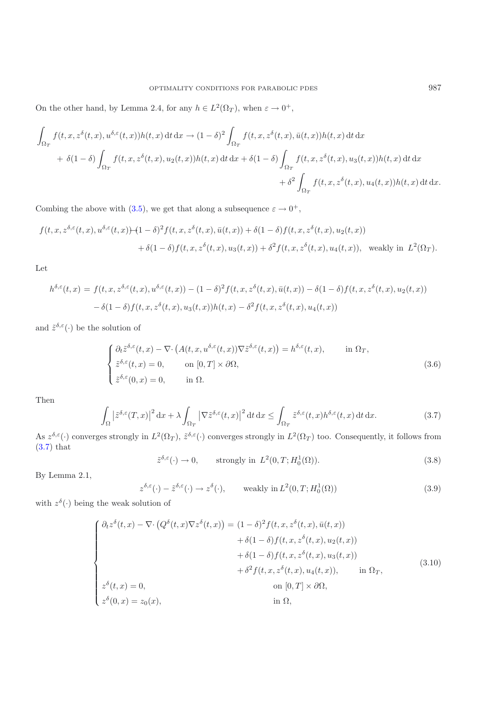On the other hand, by Lemma 2.4, for any  $h \in L^2(\Omega_T)$ , when  $\varepsilon \to 0^+,$ 

$$
\int_{\Omega_T} f(t, x, z^{\delta}(t, x), u^{\delta, \varepsilon}(t, x)) h(t, x) dt dx \to (1 - \delta)^2 \int_{\Omega_T} f(t, x, z^{\delta}(t, x), \bar{u}(t, x)) h(t, x) dt dx \n+ \delta(1 - \delta) \int_{\Omega_T} f(t, x, z^{\delta}(t, x), u_2(t, x)) h(t, x) dt dx + \delta(1 - \delta) \int_{\Omega_T} f(t, x, z^{\delta}(t, x), u_3(t, x)) h(t, x) dt dx \n+ \delta^2 \int_{\Omega_T} f(t, x, z^{\delta}(t, x), u_4(t, x)) h(t, x) dt dx.
$$

Combing the above with [\(3.5\)](#page-11-2), we get that along a subsequence  $\varepsilon \to 0^+,$ 

$$
f(t, x, z^{\delta, \varepsilon}(t, x), u^{\delta, \varepsilon}(t, x)) + (1 - \delta)^2 f(t, x, z^{\delta}(t, x), \bar{u}(t, x)) + \delta(1 - \delta) f(t, x, z^{\delta}(t, x), u_2(t, x))
$$
  
+  $\delta(1 - \delta) f(t, x, z^{\delta}(t, x), u_3(t, x)) + \delta^2 f(t, x, z^{\delta}(t, x), u_4(t, x)),$  weakly in  $L^2(\Omega_T)$ .

Let

$$
h^{\delta,\varepsilon}(t,x) = f(t,x,z^{\delta,\varepsilon}(t,x),u^{\delta,\varepsilon}(t,x)) - (1-\delta)^2 f(t,x,z^{\delta}(t,x),\bar{u}(t,x)) - \delta(1-\delta)f(t,x,z^{\delta}(t,x),u_2(t,x)) - \delta(1-\delta)f(t,x,z^{\delta}(t,x),u_3(t,x))h(t,x) - \delta^2 f(t,x,z^{\delta}(t,x),u_4(t,x))
$$

and  $\tilde{z}^{\delta,\varepsilon}(\cdot)$  be the solution of

$$
\begin{cases}\n\partial_t \tilde{z}^{\delta,\varepsilon}(t,x) - \nabla \cdot \left( A(t,x, u^{\delta,\varepsilon}(t,x)) \nabla \tilde{z}^{\delta,\varepsilon}(t,x) \right) = h^{\delta,\varepsilon}(t,x), & \text{in } \Omega_T, \\
\tilde{z}^{\delta,\varepsilon}(t,x) = 0, & \text{on } [0,T] \times \partial \Omega, \\
\tilde{z}^{\delta,\varepsilon}(0,x) = 0, & \text{in } \Omega.\n\end{cases}
$$
\n(3.6)

<span id="page-12-0"></span>Then

$$
\int_{\Omega} \left| \tilde{z}^{\delta,\varepsilon}(T,x) \right|^2 \mathrm{d}x + \lambda \int_{\Omega_T} \left| \nabla \tilde{z}^{\delta,\varepsilon}(t,x) \right|^2 \mathrm{d}t \, \mathrm{d}x \le \int_{\Omega_T} \tilde{z}^{\delta,\varepsilon}(t,x) h^{\delta,\varepsilon}(t,x) \, \mathrm{d}t \, \mathrm{d}x. \tag{3.7}
$$

As  $z^{\delta,\varepsilon}(\cdot)$  converges strongly in  $L^2(\Omega_T)$ ,  $\tilde{z}^{\delta,\varepsilon}(\cdot)$  converges strongly in  $L^2(\Omega_T)$  too. Consequently, it follows from [\(3.7\)](#page-12-0) that

$$
\tilde{z}^{\delta,\varepsilon}(\cdot) \to 0, \qquad \text{strongly in } L^2(0,T; H_0^1(\Omega)). \tag{3.8}
$$

By Lemma 2.1,

<span id="page-12-2"></span>
$$
z^{\delta,\varepsilon}(\cdot) - \tilde{z}^{\delta,\varepsilon}(\cdot) \to z^{\delta}(\cdot), \qquad \text{weakly in } L^2(0,T; H_0^1(\Omega))
$$
\n(3.9)

<span id="page-12-3"></span>with  $z^{\delta}(\cdot)$  being the weak solution of

<span id="page-12-1"></span>
$$
\begin{cases}\n\partial_t z^{\delta}(t,x) - \nabla \cdot (Q^{\delta}(t,x) \nabla z^{\delta}(t,x)) = (1-\delta)^2 f(t,x,z^{\delta}(t,x),\bar{u}(t,x)) \\
+ \delta(1-\delta) f(t,x,z^{\delta}(t,x),u_2(t,x)) \\
+ \delta(1-\delta) f(t,x,z^{\delta}(t,x),u_3(t,x)) \\
+ \delta^2 f(t,x,z^{\delta}(t,x),u_4(t,x)), \quad \text{in } \Omega_T, \\
z^{\delta}(t,x) = 0, \quad \text{on } [0,T] \times \partial\Omega, \\
z^{\delta}(0,x) = z_0(x), \quad \text{in } \Omega, \n\end{cases} \tag{3.10}
$$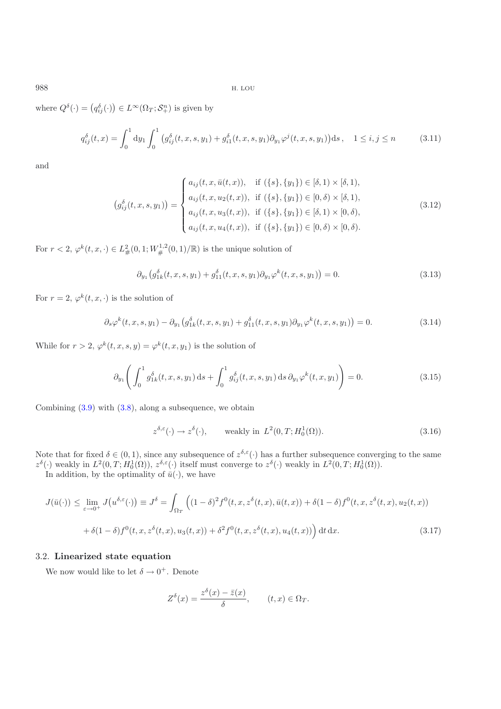where  $Q^{\delta}(\cdot) = (q_{ij}^{\delta}(\cdot)) \in L^{\infty}(\Omega_T; \mathcal{S}_{+}^{n})$  is given by

$$
q_{ij}^{\delta}(t,x) = \int_0^1 dy_1 \int_0^1 (g_{ij}^{\delta}(t,x,s,y_1) + g_{i1}^{\delta}(t,x,s,y_1) \partial_{y_1} \varphi^j(t,x,s,y_1)) ds, \quad 1 \le i, j \le n
$$
 (3.11)

<span id="page-13-0"></span>and

$$
(g_{ij}^{\delta}(t,x,s,y_1)) = \begin{cases} a_{ij}(t,x,\bar{u}(t,x)), & \text{if } (\{s\},\{y_1\}) \in [\delta,1) \times [\delta,1), \\ a_{ij}(t,x,u_2(t,x)), & \text{if } (\{s\},\{y_1\}) \in [0,\delta) \times [\delta,1), \\ a_{ij}(t,x,u_3(t,x)), & \text{if } (\{s\},\{y_1\}) \in [\delta,1) \times [0,\delta), \\ a_{ij}(t,x,u_4(t,x)), & \text{if } (\{s\},\{y_1\}) \in [0,\delta) \times [0,\delta). \end{cases}
$$
(3.12)

For  $r < 2$ ,  $\varphi^k(t, x, \cdot) \in L^2_{\#}(0, 1; W^{1,2}_{\#}(0, 1)/\mathbb{R})$  is the unique solution of

$$
\partial_{y_1} \big( g_{1k}^\delta(t, x, s, y_1) + g_{11}^\delta(t, x, s, y_1) \partial_{y_1} \varphi^k(t, x, s, y_1) \big) = 0. \tag{3.13}
$$

For  $r = 2$ ,  $\varphi^k(t, x, \cdot)$  is the solution of

$$
\partial_s \varphi^k(t, x, s, y_1) - \partial_{y_1} \left( g_{1k}^\delta(t, x, s, y_1) + g_{11}^\delta(t, x, s, y_1) \partial_{y_1} \varphi^k(t, x, s, y_1) \right) = 0. \tag{3.14}
$$

While for  $r > 2$ ,  $\varphi^k(t, x, s, y) = \varphi^k(t, x, y_1)$  is the solution of

$$
\partial_{y_1} \left( \int_0^1 g_{1k}^\delta(t, x, s, y_1) \, ds + \int_0^1 g_{ij}^\delta(t, x, s, y_1) \, ds \, \partial_{y_1} \varphi^k(t, x, y_1) \right) = 0. \tag{3.15}
$$

Combining  $(3.9)$  with  $(3.8)$ , along a subsequence, we obtain

$$
z^{\delta,\varepsilon}(\cdot) \to z^{\delta}(\cdot), \qquad \text{weakly in } L^2(0,T; H_0^1(\Omega)).
$$
\n(3.16)

Note that for fixed  $\delta \in (0,1)$ , since any subsequence of  $z^{\delta,\epsilon}(\cdot)$  has a further subsequence converging to the same  $z^{\delta}(\cdot)$  weakly in  $L^2(0, T; H^1(0))$  $z^{\delta}(\cdot)$  weakly in  $L^2(0,T;H_0^1(\Omega)), z^{\delta,\varepsilon}(\cdot)$  itself must converge to  $z^{\delta}(\cdot)$  weakly in  $L^2(0,T;H_0^1(\Omega)).$ <br>In addition, by the optimality of  $\bar{u}(\cdot)$  we have

In addition, by the optimality of  $\bar{u}(\cdot)$ , we have

<span id="page-13-1"></span>
$$
J(\bar{u}(\cdot)) \leq \lim_{\varepsilon \to 0^+} J(u^{\delta,\varepsilon}(\cdot)) \equiv J^{\delta} = \int_{\Omega_T} \left( (1-\delta)^2 f^0(t,x,z^{\delta}(t,x),\bar{u}(t,x)) + \delta(1-\delta) f^0(t,x,z^{\delta}(t,x),u_2(t,x)) \right. \\ \left. + \delta(1-\delta) f^0(t,x,z^{\delta}(t,x),u_3(t,x)) + \delta^2 f^0(t,x,z^{\delta}(t,x),u_4(t,x)) \right) dt \, dx. \tag{3.17}
$$

### 3.2. **Linearized state equation**

We now would like to let  $\delta \to 0^+$ . Denote

$$
Z^{\delta}(x) = \frac{z^{\delta}(x) - \bar{z}(x)}{\delta}, \qquad (t, x) \in \Omega_T.
$$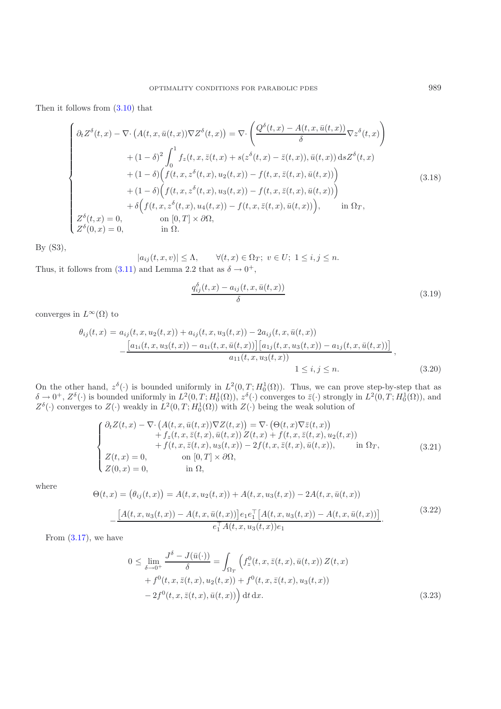<span id="page-14-1"></span>Then it follows from [\(3.10\)](#page-12-3) that

$$
\begin{cases}\n\partial_t Z^{\delta}(t,x) - \nabla \cdot (A(t,x,\bar{u}(t,x)) \nabla Z^{\delta}(t,x)) = \nabla \cdot \left( \frac{Q^{\delta}(t,x) - A(t,x,\bar{u}(t,x))}{\delta} \nabla z^{\delta}(t,x) \right) \\
+ (1 - \delta)^2 \int_0^1 f_z(t,x,\bar{z}(t,x) + s(z^{\delta}(t,x) - \bar{z}(t,x)),\bar{u}(t,x)) \, ds Z^{\delta}(t,x) \\
+ (1 - \delta) \left( f(t,x,z^{\delta}(t,x),u_2(t,x)) - f(t,x,\bar{z}(t,x),\bar{u}(t,x)) \right) \\
+ (1 - \delta) \left( f(t,x,z^{\delta}(t,x),u_3(t,x)) - f(t,x,\bar{z}(t,x),\bar{u}(t,x)) \right) \\
+ \delta \left( f(t,x,z^{\delta}(t,x),u_4(t,x)) - f(t,x,\bar{z}(t,x),\bar{u}(t,x)) \right), \quad \text{in } \Omega_T, \\
Z^{\delta}(t,x) = 0, \quad \text{on } [0,T] \times \partial \Omega, \\
Z^{\delta}(0,x) = 0, \quad \text{in } \Omega.\n\end{cases} (3.18)
$$

By (S3),

$$
|a_{ij}(t, x, v)| \le \Lambda, \qquad \forall (t, x) \in \Omega_T; \ v \in U; \ 1 \le i, j \le n.
$$
Thus, it follows from (3.11) and Lemma 2.2 that as  $\delta \to 0^+$ ,

$$
\frac{q_{ij}^{\delta}(t,x) - a_{ij}(t,x,\bar{u}(t,x))}{\delta} \tag{3.19}
$$

converges in  $L^{\infty}(\Omega)$  to

$$
\theta_{ij}(t,x) = a_{ij}(t,x,u_2(t,x)) + a_{ij}(t,x,u_3(t,x)) - 2a_{ij}(t,x,\bar{u}(t,x))
$$

$$
-\frac{[a_{1i}(t,x,u_3(t,x)) - a_{1i}(t,x,\bar{u}(t,x))] [a_{1j}(t,x,u_3(t,x)) - a_{1j}(t,x,\bar{u}(t,x))]}{a_{11}(t,x,u_3(t,x))},
$$

$$
1 \leq i,j \leq n.
$$
(3.20)

On the other hand,  $z^{\delta}(\cdot)$  is bounded uniformly in  $L^2(0,T; H_0^1(\Omega))$ . Thus, we can prove step-by-step that as  $\delta \to 0^+$   $Z^{\delta}(\cdot)$  is bounded uniformly in  $L^2(0,T; H_1^1(\Omega)) \rightarrow \delta(\cdot)$  converges to  $\bar{z}(\cdot)$  strongly in  $\delta \to 0^+, Z^{\delta}(\cdot)$  is bounded uniformly in  $L^2(0,T; H_0^1(\Omega))$ ,  $z^{\delta}(\cdot)$  converges to  $\overline{z}(\cdot)$  strongly in  $L^2(0,T; H_0^1(\Omega))$ , and  $Z^{\delta}(\cdot)$  converges to  $\overline{z}(\cdot)$  weakly in  $L^2(0,T; H_0^1(\Omega))$ , with  $Z(\cdot)$  being the w  $Z^{\delta}(\cdot)$  converges to  $Z(\cdot)$  weakly in  $L^2(0,T; H_0^1(\Omega))$  with  $Z(\cdot)$  being the weak solution of

$$
\begin{cases}\n\partial_t Z(t,x) - \nabla \cdot \left( A(t,x,\bar{u}(t,x)) \nabla Z(t,x) \right) = \nabla \cdot \left( \Theta(t,x) \nabla \bar{z}(t,x) \right) \\
+ f_z(t,x,\bar{z}(t,x),\bar{u}(t,x)) Z(t,x) + f(t,x,\bar{z}(t,x),u_2(t,x)) \\
+ f(t,x,\bar{z}(t,x),u_3(t,x)) - 2f(t,x,\bar{z}(t,x),\bar{u}(t,x)), \quad \text{in } \Omega_T, \\
Z(t,x) = 0, \quad \text{on } [0,T] \times \partial \Omega, \\
Z(0,x) = 0, \quad \text{in } \Omega,\n\end{cases}
$$
\n(3.21)

<span id="page-14-3"></span><span id="page-14-2"></span>where

$$
\Theta(t,x) = (\theta_{ij}(t,x)) = A(t,x,u_2(t,x)) + A(t,x,u_3(t,x)) - 2A(t,x,\bar{u}(t,x))
$$

$$
-\frac{[A(t,x,u_3(t,x)) - A(t,x,\bar{u}(t,x))]e_1e_1^{\top}[A(t,x,u_3(t,x)) - A(t,x,\bar{u}(t,x))]}{e_1^{\top}A(t,x,u_3(t,x))e_1}.
$$
\n(3.22)

<span id="page-14-0"></span>From  $(3.17)$ , we have

$$
0 \leq \lim_{\delta \to 0^+} \frac{J^{\delta} - J(\bar{u}(\cdot))}{\delta} = \int_{\Omega_T} \left( f_z^0(t, x, \bar{z}(t, x), \bar{u}(t, x)) Z(t, x) + f^0(t, x, \bar{z}(t, x), u_2(t, x)) + f^0(t, x, \bar{z}(t, x), u_3(t, x)) - 2f^0(t, x, \bar{z}(t, x), \bar{u}(t, x)) \right) dt dx.
$$
\n(3.23)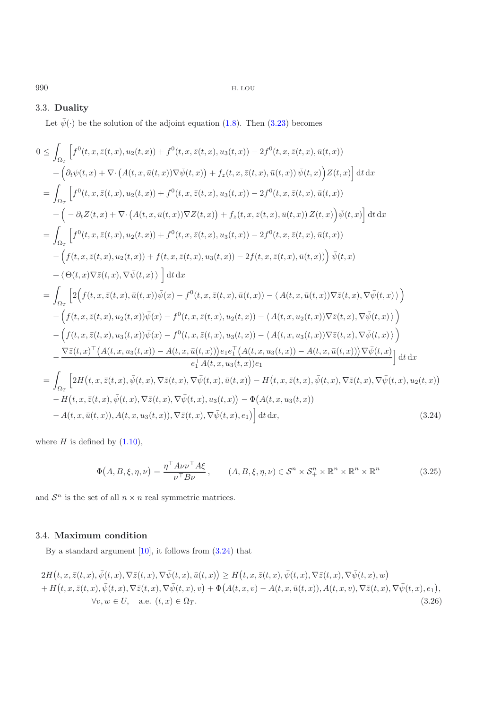## 3.3. **Duality**

Let  $\bar{\psi}(\cdot)$  be the solution of the adjoint equation [\(1.8\)](#page-1-4). Then [\(3.23\)](#page-14-0) becomes

<span id="page-15-0"></span>
$$
0 \leq \int_{\Omega_{T}} \left[ f^{0}(t,x,\bar{z}(t,x),u_{2}(t,x)) + f^{0}(t,x,\bar{z}(t,x),u_{3}(t,x)) - 2f^{0}(t,x,\bar{z}(t,x),\bar{u}(t,x)) \right]
$$
  
+  $\left( \partial_{t}\psi(t,x) + \nabla \cdot (A(t,x,\bar{u}(t,x))\nabla \bar{\psi}(t,x)) + f_{z}(t,x,\bar{z}(t,x),\bar{u}(t,x)) \bar{\psi}(t,x) \right) Z(t,x) \right] dt dx$   
=  $\int_{\Omega_{T}} \left[ f^{0}(t,x,\bar{z}(t,x),u_{2}(t,x)) + f^{0}(t,x,\bar{z}(t,x),u_{3}(t,x)) - 2f^{0}(t,x,\bar{z}(t,x),\bar{u}(t,x)) \right]$   
+  $\left( -\partial_{t}Z(t,x) + \nabla \cdot (A(t,x,\bar{u}(t,x))\nabla Z(t,x)) + f_{z}(t,x,\bar{z}(t,x),\bar{u}(t,x)) Z(t,x) \right) \bar{\psi}(t,x) \right] dt dx$   
=  $\int_{\Omega_{T}} \left[ f^{0}(t,x,\bar{z}(t,x),u_{2}(t,x)) + f^{0}(t,x,\bar{z}(t,x),u_{3}(t,x)) - 2f^{0}(t,x,\bar{z}(t,x),\bar{u}(t,x)) \right]$   
-  $\left( f(t,x,\bar{z}(t,x),u_{2}(t,x)) + f(t,x,\bar{z}(t,x),u_{3}(t,x)) - 2f(t,x,\bar{z}(t,x),\bar{u}(t,x)) \right) \bar{\psi}(t,x)$   
+  $\langle \Theta(t,x) \nabla \bar{z}(t,x), \nabla \bar{\psi}(t,x)) \right]$   
dt dx  
=  $\int_{\Omega_{T}} \left[ 2\left( f(t,x,\bar{z}(t,x),\bar{u}(t,x))\bar{\psi}(x) - f^{0}(t,x,\bar{z}(t,x),\bar{u}(t,x)) - \langle A(t,x,\bar{u}(t,x))\nabla \bar{z}(t,x),\nabla \bar{\psi}(t,x)) \right) - \left( f(t,x,\bar{z}(t,x),u_{3}(t,x))\bar{\psi}(x) - f^{0}(t,x,\bar{z}(t,x),u_{3}(t,x)) - \langle A(t,x,u_{3}(t,x))\nabla \bar{z}(t,x),\nab$ 

where  $H$  is defined by  $(1.10)$ ,

$$
\Phi(A, B, \xi, \eta, \nu) = \frac{\eta^{\top} A \nu \nu^{\top} A \xi}{\nu^{\top} B \nu}, \qquad (A, B, \xi, \eta, \nu) \in \mathcal{S}^{n} \times \mathcal{S}_{+}^{n} \times \mathbb{R}^{n} \times \mathbb{R}^{n} \times \mathbb{R}^{n}
$$
(3.25)

and  $S<sup>n</sup>$  is the set of all  $n \times n$  real symmetric matrices.

# 3.4. **Maximum condition**

By a standard argument [\[10\]](#page-19-1), it follows from [\(3.24\)](#page-15-0) that

<span id="page-15-1"></span>
$$
2H(t, x, \bar{z}(t, x), \bar{\psi}(t, x), \nabla \bar{z}(t, x), \nabla \bar{\psi}(t, x), \bar{u}(t, x)) \ge H(t, x, \bar{z}(t, x), \bar{\psi}(t, x), \nabla \bar{z}(t, x), \nabla \bar{\psi}(t, x), w) + H(t, x, \bar{z}(t, x), \bar{\psi}(t, x), \nabla \bar{z}(t, x), \nabla \bar{\psi}(t, x), v) + \Phi(A(t, x, v) - A(t, x, \bar{u}(t, x)), A(t, x, v), \nabla \bar{z}(t, x), \nabla \bar{\psi}(t, x), e_1),
$$
  

$$
\forall v, w \in U, \quad \text{a.e. } (t, x) \in \Omega_T.
$$
\n(3.26)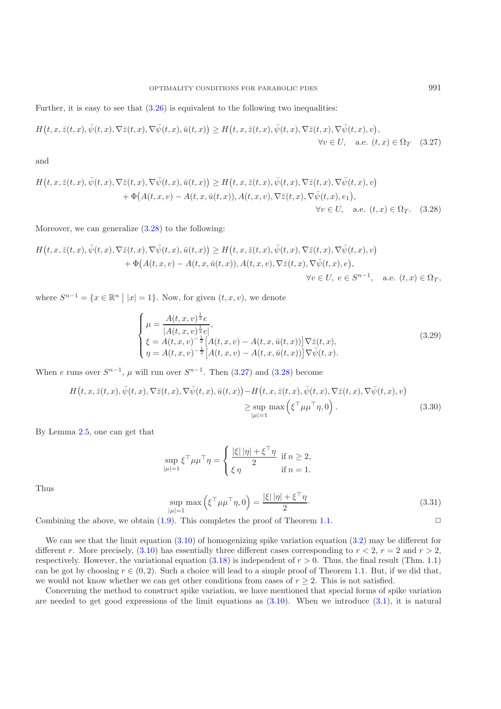Further, it is easy to see that [\(3.26\)](#page-15-1) is equivalent to the following two inequalities:

$$
H(t, x, \bar{z}(t, x), \bar{\psi}(t, x), \nabla \bar{z}(t, x), \nabla \bar{\psi}(t, x), \bar{u}(t, x)) \ge H\big(t, x, \bar{z}(t, x), \bar{\psi}(t, x), \nabla \bar{z}(t, x), \nabla \bar{\psi}(t, x), v\big),
$$
  

$$
\forall v \in U, \quad \text{a.e. } (t, x) \in \Omega_T \quad (3.27)
$$

and

$$
H(t, x, \bar{z}(t, x), \bar{\psi}(t, x), \nabla \bar{z}(t, x), \nabla \bar{\psi}(t, x), \bar{u}(t, x)) \ge H(t, x, \bar{z}(t, x), \bar{\psi}(t, x), \nabla \bar{z}(t, x), \nabla \bar{\psi}(t, x), v) + \Phi(A(t, x, v) - A(t, x, \bar{u}(t, x)), A(t, x, v), \nabla \bar{z}(t, x), \nabla \bar{\psi}(t, x), e_1),
$$
  

$$
\forall v \in U, \quad \text{a.e. } (t, x) \in \Omega_T. \quad (3.28)
$$

Moreover, we can generalize [\(3.28\)](#page-16-0) to the following:

$$
H(t, x, \overline{z}(t, x), \overline{\psi}(t, x), \nabla \overline{z}(t, x), \nabla \overline{\psi}(t, x), \overline{u}(t, x)) \ge H(t, x, \overline{z}(t, x), \overline{\psi}(t, x), \nabla \overline{z}(t, x), \nabla \overline{\psi}(t, x), v) + \Phi(A(t, x, v) - A(t, x, \overline{u}(t, x)), A(t, x, v), \nabla \overline{z}(t, x), \nabla \overline{\psi}(t, x), e),
$$
  

$$
\forall v \in U, e \in S^{n-1}, \text{ a.e. } (t, x) \in \Omega_T,
$$

where  $S^{n-1} = \{x \in \mathbb{R}^n \mid |x| = 1\}$ . Now, for given  $(t, x, v)$ , we denote

$$
\begin{cases}\n\mu = \frac{A(t, x, v)^{\frac{1}{2}} e}{|A(t, x, v)^{\frac{1}{2}} e|}, \\
\xi = A(t, x, v)^{-\frac{1}{2}} [A(t, x, v) - A(t, x, \bar{u}(t, x))] \nabla \bar{z}(t, x), \\
\eta = A(t, x, v)^{-\frac{1}{2}} [A(t, x, v) - A(t, x, \bar{u}(t, x))] \nabla \bar{\psi}(t, x).\n\end{cases}
$$
\n(3.29)

When e runs over  $S^{n-1}$ ,  $\mu$  will run over  $S^{n-1}$ . Then [\(3.27\)](#page-16-1) and [\(3.28\)](#page-16-0) become

$$
H(t, x, \bar{z}(t, x), \bar{\psi}(t, x), \nabla \bar{z}(t, x), \nabla \bar{\psi}(t, x), \bar{u}(t, x)) - H(t, x, \bar{z}(t, x), \bar{\psi}(t, x), \nabla \bar{z}(t, x), \nabla \bar{\psi}(t, x), v) \ge \sup_{|\mu|=1} \max \left( \xi^{\top} \mu \mu^{\top} \eta, 0 \right). \tag{3.30}
$$

By Lemma [2.5,](#page-10-0) one can get that

$$
\sup_{|\mu|=1} \xi^{\top} \mu \mu^{\top} \eta = \begin{cases} \frac{|\xi| |\eta| + \xi^{\top} \eta}{2} & \text{if } n \ge 2, \\ \xi \eta & \text{if } n = 1. \end{cases}
$$

Thus

$$
\sup_{|\mu|=1} \max\left(\xi^{\top} \mu \mu^{\top} \eta, 0\right) = \frac{|\xi| |\eta| + \xi^{\top} \eta}{2}.
$$
\n(3.31)

Combining the above, we obtain  $(1.9)$ . This completes the proof of Theorem [1.1.](#page-1-2)

We can see that the limit equation  $(3.10)$  of homogenizing spike variation equation  $(3.2)$  may be different for different r. More precisely,  $(3.10)$  has essentially three different cases corresponding to  $r < 2$ ,  $r = 2$  and  $r > 2$ , respectively. However, the variational equation [\(3.18\)](#page-14-1) is independent of  $r > 0$ . Thus, the final result (Thm. 1.1) can be got by choosing  $r \in (0, 2)$ . Such a choice will lead to a simple proof of Theorem 1.1. But, if we did that, we would not know whether we can get other conditions from cases of  $r \geq 2$ . This is not satisfied.

Concerning the method to construct spike variation, we have mentioned that special forms of spike variation are needed to get good expressions of the limit equations as  $(3.10)$ . When we introduce  $(3.1)$ , it is natural

<span id="page-16-1"></span><span id="page-16-0"></span>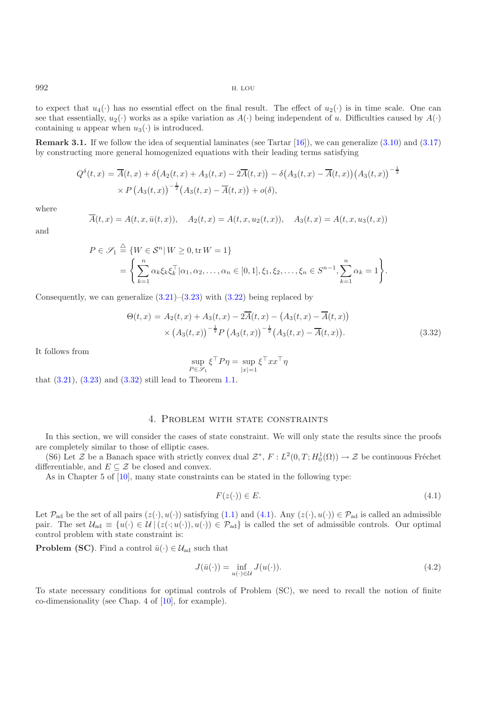to expect that  $u_4(\cdot)$  has no essential effect on the final result. The effect of  $u_2(\cdot)$  is in time scale. One can see that essentially,  $u_2(\cdot)$  works as a spike variation as  $A(\cdot)$  being independent of u. Difficulties caused by  $A(\cdot)$ containing u appear when  $u_3(\cdot)$  is introduced.

**Remark 3.1.** If we follow the idea of sequential laminates (see Tartar [\[16\]](#page-19-9)), we can generalize  $(3.10)$  and  $(3.17)$ by constructing more general homogenized equations with their leading terms satisfying

$$
Q^{\delta}(t,x) = \overline{A}(t,x) + \delta \big(A_2(t,x) + A_3(t,x) - 2\overline{A}(t,x)\big) - \delta \big(A_3(t,x) - \overline{A}(t,x)\big) \big(A_3(t,x)\big)^{-\frac{1}{2}}
$$
  
 
$$
\times P\big(A_3(t,x)\big)^{-\frac{1}{2}} \big(A_3(t,x) - \overline{A}(t,x)\big) + o(\delta),
$$

where

$$
\overline{A}(t,x) = A(t,x,\bar{u}(t,x)), \quad A_2(t,x) = A(t,x,u_2(t,x)), \quad A_3(t,x) = A(t,x,u_3(t,x))
$$

and

$$
P \in \mathscr{S}_1 \stackrel{\triangle}{=} \{W \in \mathcal{S}^n | W \ge 0, \text{tr } W = 1\}
$$
  
=  $\left\{\sum_{k=1}^n \alpha_k \xi_k \xi_k^\top | \alpha_1, \alpha_2, \dots, \alpha_n \in [0, 1], \xi_1, \xi_2, \dots, \xi_n \in S^{n-1}, \sum_{k=1}^n \alpha_k = 1\right\}.$ 

<span id="page-17-0"></span>Consequently, we can generalize  $(3.21)$ – $(3.23)$  with  $(3.22)$  being replaced by

$$
\Theta(t,x) = A_2(t,x) + A_3(t,x) - 2\overline{A}(t,x) - (A_3(t,x) - \overline{A}(t,x))
$$
  
\$\times (A\_3(t,x))^{-\frac{1}{2}}P (A\_3(t,x))^{-\frac{1}{2}}(A\_3(t,x) - \overline{A}(t,x))\$. (3.32)

It follows from

$$
\sup_{P\in\mathscr{S}_1}\xi^\top P\eta=\sup_{|x|=1}\xi^\top x x^\top\eta
$$

that  $(3.21)$ ,  $(3.23)$  and  $(3.32)$  still lead to Theorem [1.1.](#page-1-2)

### 4. Problem with state constraints

In this section, we will consider the cases of state constraint. We will only state the results since the proofs are completely similar to those of elliptic cases.

(S6) Let  $\mathcal{Z}$  be a Banach space with strictly convex dual  $\mathcal{Z}^*, F : L^2(0,T; H_0^1(\Omega)) \to \mathcal{Z}$  be continuous Fréchet differentiable, and  $E \subseteq \mathcal{Z}$  be closed and convex.

As in Chapter 5 of [\[10\]](#page-19-1), many state constraints can be stated in the following type:

<span id="page-17-1"></span>
$$
F(z(\cdot)) \in E. \tag{4.1}
$$

Let  $\mathcal{P}_{ad}$  be the set of all pairs  $(z(\cdot), u(\cdot))$  satisfying  $(1.1)$  and  $(4.1)$ . Any  $(z(\cdot), u(\cdot)) \in \mathcal{P}_{ad}$  is called an admissible pair. The set  $\mathcal{U}_{ad} \equiv \{u(\cdot) \in \mathcal{U} \mid (z(\cdot; u(\cdot)), u(\cdot)) \in \mathcal{P}_{ad}\}\$ is called the set of admissible controls. Our optimal control problem with state constraint is:

**Problem (SC)**. Find a control  $\bar{u}(\cdot) \in \mathcal{U}_{ad}$  such that

$$
J(\bar{u}(\cdot)) = \inf_{u(\cdot) \in \mathcal{U}} J(u(\cdot)).
$$
\n(4.2)

To state necessary conditions for optimal controls of Problem (SC), we need to recall the notion of finite co-dimensionality (see Chap. 4 of [\[10](#page-19-1)], for example).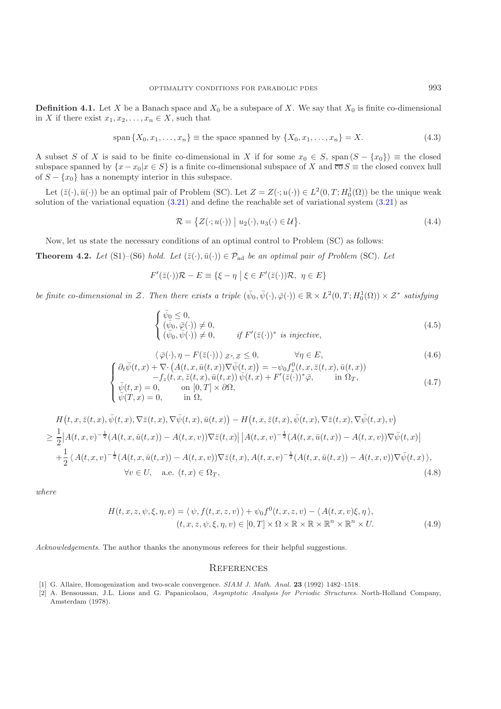**Definition 4.1.** Let X be a Banach space and  $X_0$  be a subspace of X. We say that  $X_0$  is finite co-dimensional in X if there exist  $x_1, x_2, \ldots, x_n \in X$ , such that

$$
\text{span}\left\{X_0, x_1, \dots, x_n\right\} \equiv \text{the space spanned by}\left\{X_0, x_1, \dots, x_n\right\} = X. \tag{4.3}
$$

A subset S of X is said to be finite co-dimensional in X if for some  $x_0 \in S$ , span  $(S - \{x_0\}) \equiv$  the closed subspace spanned by  $\{x-x_0|x \in S\}$  is a finite co-dimensional subspace of X and  $\overline{co} S \equiv$  the closed convex hull of  $S - \{x_0\}$  has a nonempty interior in this subspace.

Let  $(\bar{z}(\cdot), \bar{u}(\cdot))$  be an optimal pair of Problem (SC). Let  $Z = Z(\cdot; u(\cdot)) \in L^2(0, T; H_0^1(\Omega))$  be the unique weak<br>ution of the variational equation (3.21) and define the reachable set of variational system (3.21) as solution of the variational equation [\(3.21\)](#page-14-2) and define the reachable set of variational system [\(3.21\)](#page-14-2) as

$$
\mathcal{R} = \{ Z(\cdot; u(\cdot)) \mid u_2(\cdot), u_3(\cdot) \in \mathcal{U} \}.
$$
\n
$$
(4.4)
$$

Now, let us state the necessary conditions of an optimal control to Problem (SC) as follows:

**Theorem 4.2.** *Let* (S1)–(S6) *hold. Let*  $(\bar{z}(\cdot), \bar{u}(\cdot)) \in \mathcal{P}_{ad}$  *be an optimal pair of Problem* (SC). *Let* 

 $F'(\bar{z}(\cdot))\mathcal{R} - E \equiv \{\xi - \eta \mid \xi \in F'(\bar{z}(\cdot))\mathcal{R}, \ \eta \in E\}$ 

*be finite co-dimensional in* Z. Then there exists a triple  $(\bar{\psi}_0, \bar{\psi}(\cdot), \bar{\varphi}(\cdot)) \in \mathbb{R} \times L^2(0,T; H_0^1(\Omega)) \times \mathcal{Z}^*$  satisfying

$$
\begin{cases} \bar{\psi}_0 \leq 0, \\ (\bar{\psi}_0, \bar{\varphi}(\cdot)) \neq 0, \\ (\bar{\psi}_0, \bar{\psi}(\cdot)) \neq 0, \qquad \text{if } F'(\bar{z}(\cdot))^* \text{ is injective,} \end{cases}
$$
\n
$$
(4.5)
$$

$$
\langle \bar{\varphi}(\cdot), \eta - F(\bar{z}(\cdot)) \rangle_{\mathcal{Z}^*, \mathcal{Z}} \le 0, \qquad \forall \eta \in E,
$$
\n
$$
\langle \varphi(\cdot), \eta - F(\bar{z}(\cdot)) \rangle_{\mathcal{Z}^*, \mathcal{Z}} \le 0, \qquad \forall \eta \in E,
$$
\n
$$
(4.6)
$$

$$
\begin{cases}\n\partial_t \bar{\psi}(t,x) + \nabla \cdot \left( A(t,x,\bar{u}(t,x)) \nabla \bar{\psi}(t,x) \right) = -\psi_0 f_z^0(t,x,\bar{z}(t,x),\bar{u}(t,x)) \\
-f_z(t,x,\bar{z}(t,x),\bar{u}(t,x)) \bar{\psi}(t,x) + F'(\bar{z}(\cdot))^* \bar{\varphi}, \quad \text{in } \Omega_T, \\
\bar{\psi}(t,x) = 0, \quad \text{on } [0,T] \times \partial \Omega, \\
\bar{\psi}(T,x) = 0, \quad \text{in } \Omega,\n\end{cases}
$$
\n(4.7)

$$
H(t, x, \bar{z}(t, x), \bar{\psi}(t, x), \nabla \bar{z}(t, x), \nabla \bar{\psi}(t, x), \bar{u}(t, x)) - H(t, x, \bar{z}(t, x), \bar{\psi}(t, x), \nabla \bar{z}(t, x), \nabla \bar{\psi}(t, x), v)
$$
\n
$$
\geq \frac{1}{2} |A(t, x, v)^{-\frac{1}{2}} (A(t, x, \bar{u}(t, x)) - A(t, x, v)) \nabla \bar{z}(t, x) | |A(t, x, v)^{-\frac{1}{2}} (A(t, x, \bar{u}(t, x)) - A(t, x, v)) \nabla \bar{\psi}(t, x) |
$$
\n
$$
+ \frac{1}{2} \langle A(t, x, v)^{-\frac{1}{2}} (A(t, x, \bar{u}(t, x)) - A(t, x, v)) \nabla \bar{z}(t, x), A(t, x, v)^{-\frac{1}{2}} (A(t, x, \bar{u}(t, x)) - A(t, x, v)) \nabla \bar{\psi}(t, x) \rangle,
$$
\n
$$
\forall v \in U, \quad \text{a.e. } (t, x) \in \Omega_T,
$$
\n(4.8)

*where*

$$
H(t, x, z, \psi, \xi, \eta, v) = \langle \psi, f(t, x, z, v) \rangle + \psi_0 f^0(t, x, z, v) - \langle A(t, x, v)\xi, \eta \rangle,
$$
  

$$
(t, x, z, \psi, \xi, \eta, v) \in [0, T] \times \Omega \times \mathbb{R} \times \mathbb{R} \times \mathbb{R}^n \times \mathbb{R}^n \times U.
$$
 (4.9)

*Acknowledgements*. The author thanks the anonymous referees for their helpful suggestions.

#### **REFERENCES**

- <span id="page-18-1"></span>[1] G. Allaire, Homogenization and two-scale convergence. SIAM J. Math. Anal. **23** (1992) 1482–1518.
- <span id="page-18-0"></span>[2] A. Bensoussan, J.L. Lions and G. Papanicolaou, Asymptotic Analysis for Periodic Structures. North-Holland Company, Amsterdam (1978).